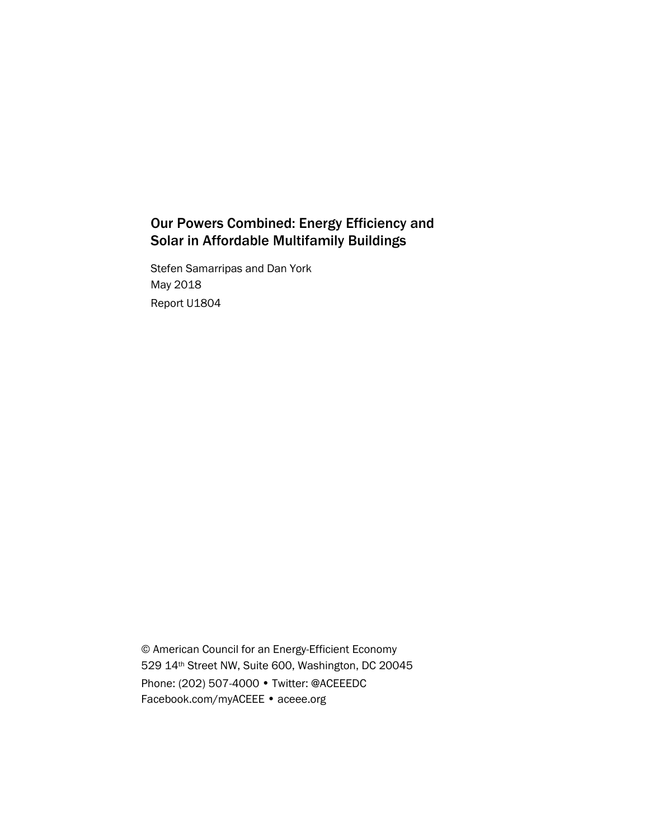# Our Powers Combined: Energy Efficiency and Solar in Affordable Multifamily Buildings

Stefen Samarripas and Dan York May 2018 Report U1804

© American Council for an Energy-Efficient Economy 529 14th Street NW, Suite 600, Washington, DC 20045 Phone: (202) 507-4000 • Twitter: @ACEEEDC Facebook.com/myACEEE • aceee.org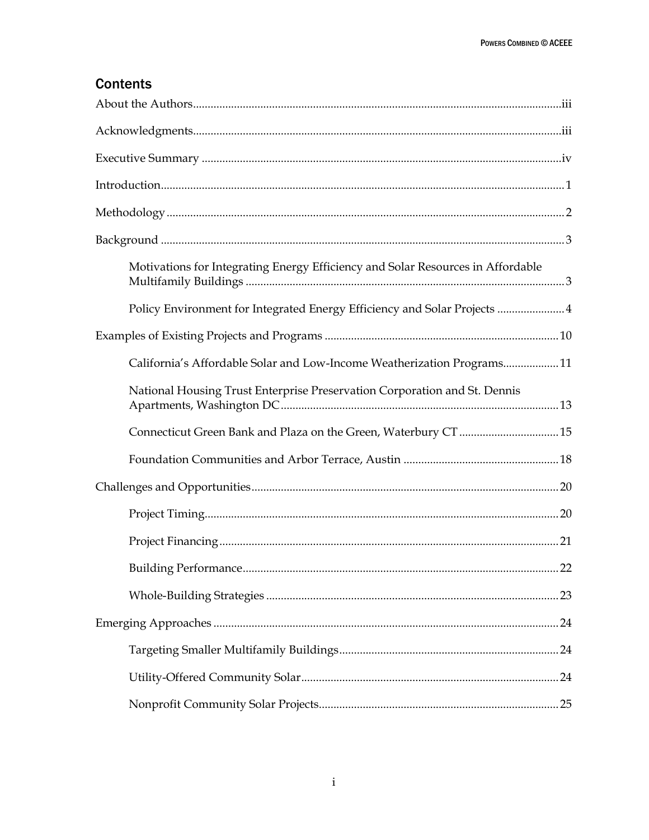# **Contents**

| Motivations for Integrating Energy Efficiency and Solar Resources in Affordable |
|---------------------------------------------------------------------------------|
| Policy Environment for Integrated Energy Efficiency and Solar Projects 4        |
|                                                                                 |
| California's Affordable Solar and Low-Income Weatherization Programs11          |
| National Housing Trust Enterprise Preservation Corporation and St. Dennis       |
| Connecticut Green Bank and Plaza on the Green, Waterbury CT  15                 |
|                                                                                 |
|                                                                                 |
|                                                                                 |
|                                                                                 |
|                                                                                 |
|                                                                                 |
|                                                                                 |
|                                                                                 |
|                                                                                 |
|                                                                                 |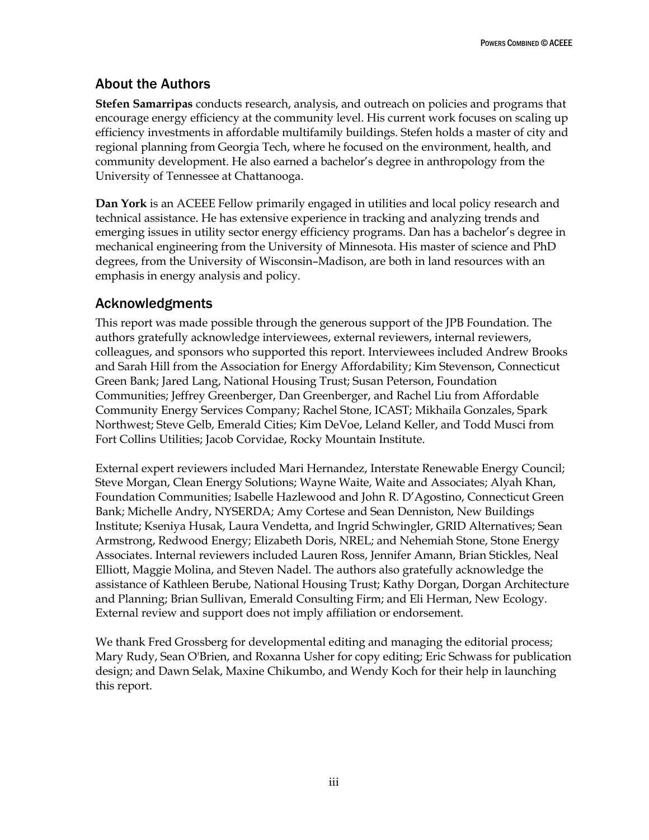# <span id="page-3-0"></span>About the Authors

**Stefen Samarripas** conducts research, analysis, and outreach on policies and programs that encourage energy efficiency at the community level. His current work focuses on scaling up efficiency investments in affordable multifamily buildings. Stefen holds a master of city and regional planning from Georgia Tech, where he focused on the environment, health, and community development. He also earned a bachelor's degree in anthropology from the University of Tennessee at Chattanooga.

**Dan York** is an ACEEE Fellow primarily engaged in utilities and local policy research and technical assistance. He has extensive experience in tracking and analyzing trends and emerging issues in utility sector energy efficiency programs. Dan has a bachelor's degree in mechanical engineering from the University of Minnesota. His master of science and PhD degrees, from the University of Wisconsin–Madison, are both in land resources with an emphasis in energy analysis and policy.

# <span id="page-3-1"></span>Acknowledgments

This report was made possible through the generous support of the JPB Foundation. The authors gratefully acknowledge interviewees, external reviewers, internal reviewers, colleagues, and sponsors who supported this report. Interviewees included Andrew Brooks and Sarah Hill from the Association for Energy Affordability; Kim Stevenson, Connecticut Green Bank; Jared Lang, National Housing Trust; Susan Peterson, Foundation Communities; Jeffrey Greenberger, Dan Greenberger, and Rachel Liu from Affordable Community Energy Services Company; Rachel Stone, ICAST; Mikhaila Gonzales, Spark Northwest; Steve Gelb, Emerald Cities; Kim DeVoe, Leland Keller, and Todd Musci from Fort Collins Utilities; Jacob Corvidae, Rocky Mountain Institute.

External expert reviewers included Mari Hernandez, Interstate Renewable Energy Council; Steve Morgan, Clean Energy Solutions; Wayne Waite, Waite and Associates; Alyah Khan, Foundation Communities; Isabelle Hazlewood and John R. D'Agostino, Connecticut Green Bank; Michelle Andry, NYSERDA; Amy Cortese and Sean Denniston, New Buildings Institute; Kseniya Husak, Laura Vendetta, and Ingrid Schwingler, GRID Alternatives; Sean Armstrong, Redwood Energy; Elizabeth Doris, NREL; and Nehemiah Stone, Stone Energy Associates. Internal reviewers included Lauren Ross, Jennifer Amann, Brian Stickles, Neal Elliott, Maggie Molina, and Steven Nadel. The authors also gratefully acknowledge the assistance of Kathleen Berube, National Housing Trust; Kathy Dorgan, Dorgan Architecture and Planning; Brian Sullivan, Emerald Consulting Firm; and Eli Herman, New Ecology. External review and support does not imply affiliation or endorsement.

We thank Fred Grossberg for developmental editing and managing the editorial process; Mary Rudy, Sean O'Brien, and Roxanna Usher for copy editing; Eric Schwass for publication design; and Dawn Selak, Maxine Chikumbo, and Wendy Koch for their help in launching this report.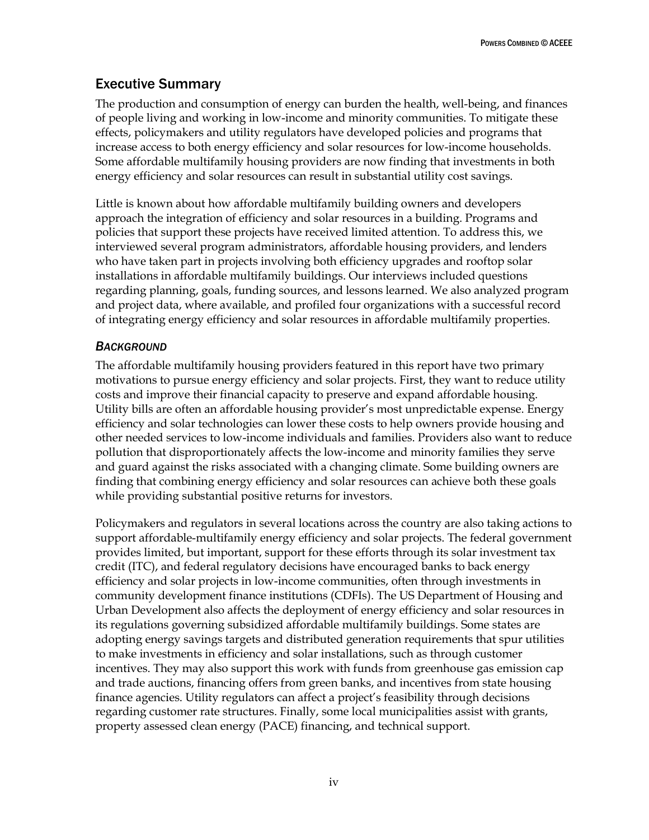# <span id="page-4-0"></span>Executive Summary

The production and consumption of energy can burden the health, well-being, and finances of people living and working in low-income and minority communities. To mitigate these effects, policymakers and utility regulators have developed policies and programs that increase access to both energy efficiency and solar resources for low-income households. Some affordable multifamily housing providers are now finding that investments in both energy efficiency and solar resources can result in substantial utility cost savings.

Little is known about how affordable multifamily building owners and developers approach the integration of efficiency and solar resources in a building. Programs and policies that support these projects have received limited attention. To address this, we interviewed several program administrators, affordable housing providers, and lenders who have taken part in projects involving both efficiency upgrades and rooftop solar installations in affordable multifamily buildings. Our interviews included questions regarding planning, goals, funding sources, and lessons learned. We also analyzed program and project data, where available, and profiled four organizations with a successful record of integrating energy efficiency and solar resources in affordable multifamily properties.

### *BACKGROUND*

The affordable multifamily housing providers featured in this report have two primary motivations to pursue energy efficiency and solar projects. First, they want to reduce utility costs and improve their financial capacity to preserve and expand affordable housing. Utility bills are often an affordable housing provider's most unpredictable expense. Energy efficiency and solar technologies can lower these costs to help owners provide housing and other needed services to low-income individuals and families. Providers also want to reduce pollution that disproportionately affects the low-income and minority families they serve and guard against the risks associated with a changing climate. Some building owners are finding that combining energy efficiency and solar resources can achieve both these goals while providing substantial positive returns for investors.

Policymakers and regulators in several locations across the country are also taking actions to support affordable-multifamily energy efficiency and solar projects. The federal government provides limited, but important, support for these efforts through its solar investment tax credit (ITC), and federal regulatory decisions have encouraged banks to back energy efficiency and solar projects in low-income communities, often through investments in community development finance institutions (CDFIs). The US Department of Housing and Urban Development also affects the deployment of energy efficiency and solar resources in its regulations governing subsidized affordable multifamily buildings. Some states are adopting energy savings targets and distributed generation requirements that spur utilities to make investments in efficiency and solar installations, such as through customer incentives. They may also support this work with funds from greenhouse gas emission cap and trade auctions, financing offers from green banks, and incentives from state housing finance agencies. Utility regulators can affect a project's feasibility through decisions regarding customer rate structures. Finally, some local municipalities assist with grants, property assessed clean energy (PACE) financing, and technical support.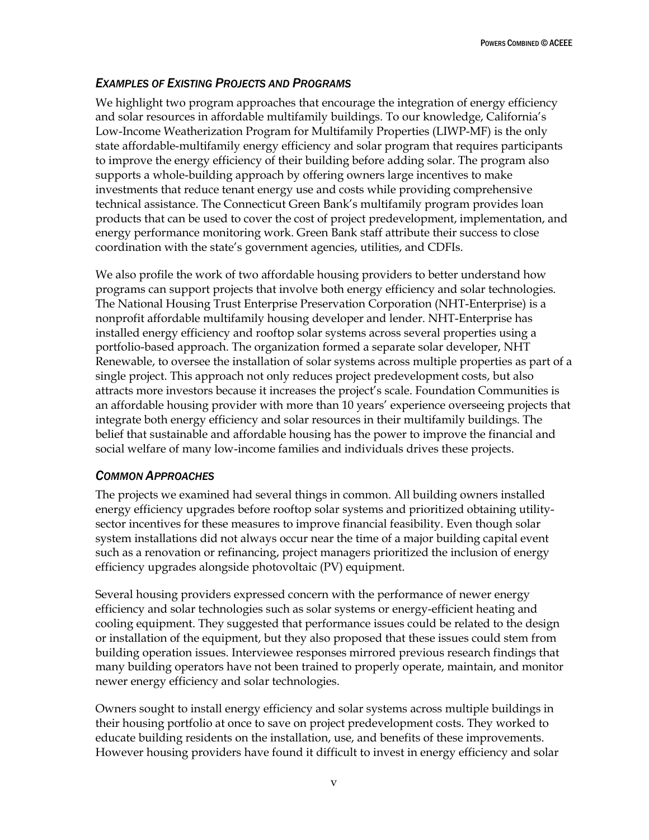## *EXAMPLES OF EXISTING PROJECTS AND PROGRAMS*

We highlight two program approaches that encourage the integration of energy efficiency and solar resources in affordable multifamily buildings. To our knowledge, California's Low-Income Weatherization Program for Multifamily Properties (LIWP-MF) is the only state affordable-multifamily energy efficiency and solar program that requires participants to improve the energy efficiency of their building before adding solar. The program also supports a whole-building approach by offering owners large incentives to make investments that reduce tenant energy use and costs while providing comprehensive technical assistance. The Connecticut Green Bank's multifamily program provides loan products that can be used to cover the cost of project predevelopment, implementation, and energy performance monitoring work. Green Bank staff attribute their success to close coordination with the state's government agencies, utilities, and CDFIs.

We also profile the work of two affordable housing providers to better understand how programs can support projects that involve both energy efficiency and solar technologies. The National Housing Trust Enterprise Preservation Corporation (NHT-Enterprise) is a nonprofit affordable multifamily housing developer and lender. NHT-Enterprise has installed energy efficiency and rooftop solar systems across several properties using a portfolio-based approach. The organization formed a separate solar developer, NHT Renewable, to oversee the installation of solar systems across multiple properties as part of a single project. This approach not only reduces project predevelopment costs, but also attracts more investors because it increases the project's scale. Foundation Communities is an affordable housing provider with more than 10 years' experience overseeing projects that integrate both energy efficiency and solar resources in their multifamily buildings. The belief that sustainable and affordable housing has the power to improve the financial and social welfare of many low-income families and individuals drives these projects.

### *COMMON APPROACHES*

The projects we examined had several things in common. All building owners installed energy efficiency upgrades before rooftop solar systems and prioritized obtaining utilitysector incentives for these measures to improve financial feasibility. Even though solar system installations did not always occur near the time of a major building capital event such as a renovation or refinancing, project managers prioritized the inclusion of energy efficiency upgrades alongside photovoltaic (PV) equipment.

Several housing providers expressed concern with the performance of newer energy efficiency and solar technologies such as solar systems or energy-efficient heating and cooling equipment. They suggested that performance issues could be related to the design or installation of the equipment, but they also proposed that these issues could stem from building operation issues. Interviewee responses mirrored previous research findings that many building operators have not been trained to properly operate, maintain, and monitor newer energy efficiency and solar technologies.

Owners sought to install energy efficiency and solar systems across multiple buildings in their housing portfolio at once to save on project predevelopment costs. They worked to educate building residents on the installation, use, and benefits of these improvements. However housing providers have found it difficult to invest in energy efficiency and solar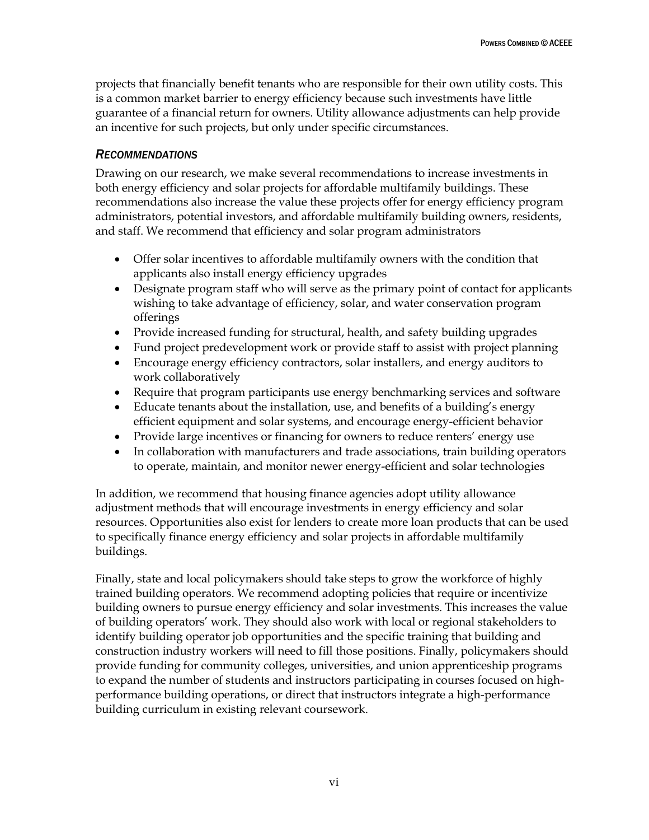projects that financially benefit tenants who are responsible for their own utility costs. This is a common market barrier to energy efficiency because such investments have little guarantee of a financial return for owners. Utility allowance adjustments can help provide an incentive for such projects, but only under specific circumstances.

#### *RECOMMENDATIONS*

Drawing on our research, we make several recommendations to increase investments in both energy efficiency and solar projects for affordable multifamily buildings. These recommendations also increase the value these projects offer for energy efficiency program administrators, potential investors, and affordable multifamily building owners, residents, and staff. We recommend that efficiency and solar program administrators

- Offer solar incentives to affordable multifamily owners with the condition that applicants also install energy efficiency upgrades
- Designate program staff who will serve as the primary point of contact for applicants wishing to take advantage of efficiency, solar, and water conservation program offerings
- Provide increased funding for structural, health, and safety building upgrades
- Fund project predevelopment work or provide staff to assist with project planning
- Encourage energy efficiency contractors, solar installers, and energy auditors to work collaboratively
- Require that program participants use energy benchmarking services and software
- Educate tenants about the installation, use, and benefits of a building's energy efficient equipment and solar systems, and encourage energy-efficient behavior
- Provide large incentives or financing for owners to reduce renters' energy use
- In collaboration with manufacturers and trade associations, train building operators to operate, maintain, and monitor newer energy-efficient and solar technologies

In addition, we recommend that housing finance agencies adopt utility allowance adjustment methods that will encourage investments in energy efficiency and solar resources. Opportunities also exist for lenders to create more loan products that can be used to specifically finance energy efficiency and solar projects in affordable multifamily buildings.

Finally, state and local policymakers should take steps to grow the workforce of highly trained building operators. We recommend adopting policies that require or incentivize building owners to pursue energy efficiency and solar investments. This increases the value of building operators' work. They should also work with local or regional stakeholders to identify building operator job opportunities and the specific training that building and construction industry workers will need to fill those positions. Finally, policymakers should provide funding for community colleges, universities, and union apprenticeship programs to expand the number of students and instructors participating in courses focused on highperformance building operations, or direct that instructors integrate a high-performance building curriculum in existing relevant coursework.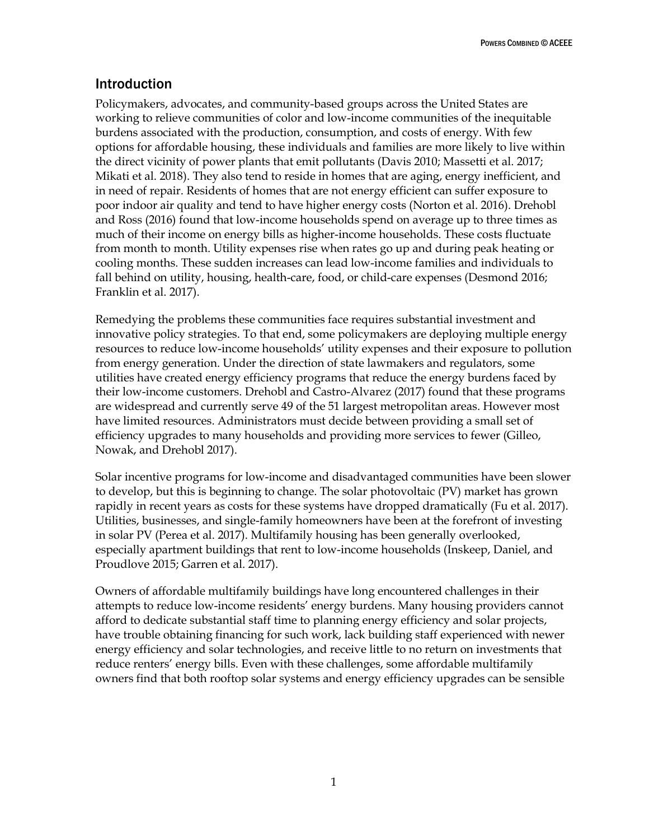POWERS COMBINED ©ACEEE

# <span id="page-7-0"></span>Introduction

Policymakers, advocates, and community-based groups across the United States are working to relieve communities of color and low-income communities of the inequitable burdens associated with the production, consumption, and costs of energy. With few options for affordable housing, these individuals and families are more likely to live within the direct vicinity of power plants that emit pollutants (Davis 2010; Massetti et al. 2017; Mikati et al. 2018). They also tend to reside in homes that are aging, energy inefficient, and in need of repair. Residents of homes that are not energy efficient can suffer exposure to poor indoor air quality and tend to have higher energy costs (Norton et al. 2016). Drehobl and Ross (2016) found that low-income households spend on average up to three times as much of their income on energy bills as higher-income households. These costs fluctuate from month to month. Utility expenses rise when rates go up and during peak heating or cooling months. These sudden increases can lead low-income families and individuals to fall behind on utility, housing, health-care, food, or child-care expenses (Desmond 2016; Franklin et al. 2017).

Remedying the problems these communities face requires substantial investment and innovative policy strategies. To that end, some policymakers are deploying multiple energy resources to reduce low-income households' utility expenses and their exposure to pollution from energy generation. Under the direction of state lawmakers and regulators, some utilities have created energy efficiency programs that reduce the energy burdens faced by their low-income customers. Drehobl and Castro-Alvarez (2017) found that these programs are widespread and currently serve 49 of the 51 largest metropolitan areas. However most have limited resources. Administrators must decide between providing a small set of efficiency upgrades to many households and providing more services to fewer (Gilleo, Nowak, and Drehobl 2017).

Solar incentive programs for low-income and disadvantaged communities have been slower to develop, but this is beginning to change. The solar photovoltaic (PV) market has grown rapidly in recent years as costs for these systems have dropped dramatically (Fu et al. 2017). Utilities, businesses, and single-family homeowners have been at the forefront of investing in solar PV (Perea et al. 2017). Multifamily housing has been generally overlooked, especially apartment buildings that rent to low-income households (Inskeep, Daniel, and Proudlove 2015; Garren et al. 2017).

Owners of affordable multifamily buildings have long encountered challenges in their attempts to reduce low-income residents' energy burdens. Many housing providers cannot afford to dedicate substantial staff time to planning energy efficiency and solar projects, have trouble obtaining financing for such work, lack building staff experienced with newer energy efficiency and solar technologies, and receive little to no return on investments that reduce renters' energy bills. Even with these challenges, some affordable multifamily owners find that both rooftop solar systems and energy efficiency upgrades can be sensible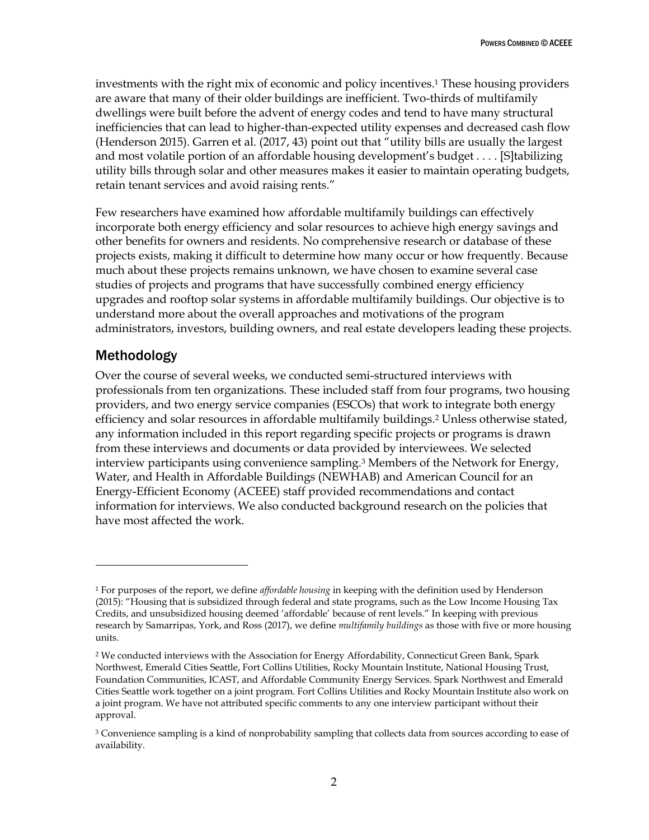investments with the right mix of economic and policy incentives.<sup>1</sup> These housing providers are aware that many of their older buildings are inefficient. Two-thirds of multifamily dwellings were built before the advent of energy codes and tend to have many structural inefficiencies that can lead to higher-than-expected utility expenses and decreased cash flow (Henderson 2015). Garren et al. (2017, 43) point out that "utility bills are usually the largest and most volatile portion of an affordable housing development's budget . . . . [S]tabilizing utility bills through solar and other measures makes it easier to maintain operating budgets, retain tenant services and avoid raising rents."

Few researchers have examined how affordable multifamily buildings can effectively incorporate both energy efficiency and solar resources to achieve high energy savings and other benefits for owners and residents. No comprehensive research or database of these projects exists, making it difficult to determine how many occur or how frequently. Because much about these projects remains unknown, we have chosen to examine several case studies of projects and programs that have successfully combined energy efficiency upgrades and rooftop solar systems in affordable multifamily buildings. Our objective is to understand more about the overall approaches and motivations of the program administrators, investors, building owners, and real estate developers leading these projects.

## <span id="page-8-0"></span>Methodology

 $\overline{a}$ 

Over the course of several weeks, we conducted semi-structured interviews with professionals from ten organizations. These included staff from four programs, two housing providers, and two energy service companies (ESCOs) that work to integrate both energy efficiency and solar resources in affordable multifamily buildings.<sup>2</sup> Unless otherwise stated, any information included in this report regarding specific projects or programs is drawn from these interviews and documents or data provided by interviewees. We selected interview participants using convenience sampling.<sup>3</sup> Members of the Network for Energy, Water, and Health in Affordable Buildings (NEWHAB) and American Council for an Energy-Efficient Economy (ACEEE) staff provided recommendations and contact information for interviews. We also conducted background research on the policies that have most affected the work.

<sup>1</sup> For purposes of the report, we define *affordable housing* in keeping with the definition used by Henderson (2015): "Housing that is subsidized through federal and state programs, such as the Low Income Housing Tax Credits, and unsubsidized housing deemed 'affordable' because of rent levels." In keeping with previous research by Samarripas, York, and Ross (2017), we define *multifamily buildings* as those with five or more housing units.

<sup>2</sup> We conducted interviews with the Association for Energy Affordability, Connecticut Green Bank, Spark Northwest, Emerald Cities Seattle, Fort Collins Utilities, Rocky Mountain Institute, National Housing Trust, Foundation Communities, ICAST, and Affordable Community Energy Services. Spark Northwest and Emerald Cities Seattle work together on a joint program. Fort Collins Utilities and Rocky Mountain Institute also work on a joint program. We have not attributed specific comments to any one interview participant without their approval.

<sup>&</sup>lt;sup>3</sup> Convenience sampling is a kind of nonprobability sampling that collects data from sources according to ease of availability.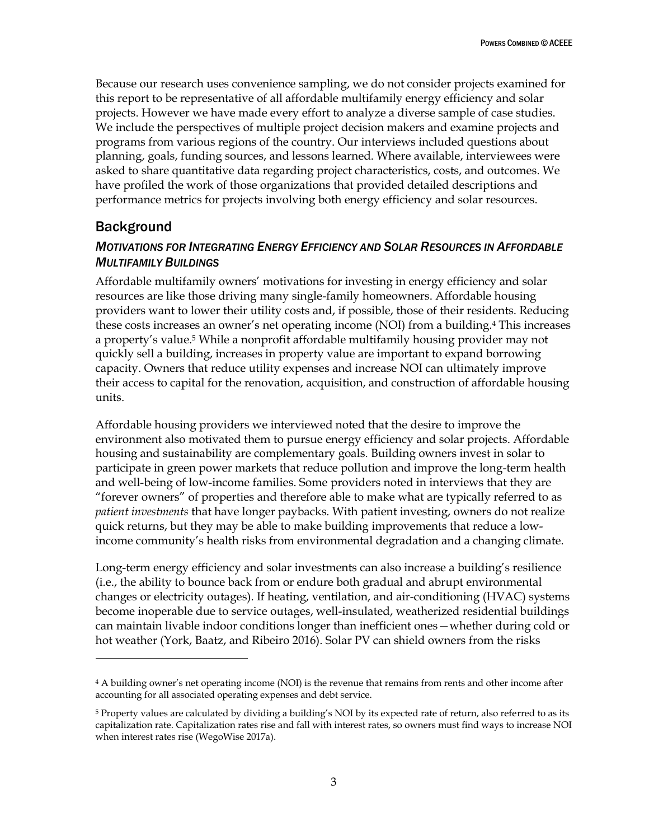Because our research uses convenience sampling, we do not consider projects examined for this report to be representative of all affordable multifamily energy efficiency and solar projects. However we have made every effort to analyze a diverse sample of case studies. We include the perspectives of multiple project decision makers and examine projects and programs from various regions of the country. Our interviews included questions about planning, goals, funding sources, and lessons learned. Where available, interviewees were asked to share quantitative data regarding project characteristics, costs, and outcomes. We have profiled the work of those organizations that provided detailed descriptions and performance metrics for projects involving both energy efficiency and solar resources.

### <span id="page-9-0"></span>Background

 $\overline{a}$ 

### <span id="page-9-1"></span>*MOTIVATIONS FOR INTEGRATING ENERGY EFFICIENCY AND SOLAR RESOURCES IN AFFORDABLE MULTIFAMILY BUILDINGS*

Affordable multifamily owners' motivations for investing in energy efficiency and solar resources are like those driving many single-family homeowners. Affordable housing providers want to lower their utility costs and, if possible, those of their residents. Reducing these costs increases an owner's net operating income (NOI) from a building.<sup>4</sup> This increases a property's value.<sup>5</sup> While a nonprofit affordable multifamily housing provider may not quickly sell a building, increases in property value are important to expand borrowing capacity. Owners that reduce utility expenses and increase NOI can ultimately improve their access to capital for the renovation, acquisition, and construction of affordable housing units.

Affordable housing providers we interviewed noted that the desire to improve the environment also motivated them to pursue energy efficiency and solar projects. Affordable housing and sustainability are complementary goals. Building owners invest in solar to participate in green power markets that reduce pollution and improve the long-term health and well-being of low-income families. Some providers noted in interviews that they are "forever owners" of properties and therefore able to make what are typically referred to as *patient investments* that have longer paybacks. With patient investing, owners do not realize quick returns, but they may be able to make building improvements that reduce a lowincome community's health risks from environmental degradation and a changing climate.

Long-term energy efficiency and solar investments can also increase a building's resilience (i.e., the ability to bounce back from or endure both gradual and abrupt environmental changes or electricity outages). If heating, ventilation, and air-conditioning (HVAC) systems become inoperable due to service outages, well-insulated, weatherized residential buildings can maintain livable indoor conditions longer than inefficient ones—whether during cold or hot weather (York, Baatz, and Ribeiro 2016). Solar PV can shield owners from the risks

<sup>4</sup> A building owner's net operating income (NOI) is the revenue that remains from rents and other income after accounting for all associated operating expenses and debt service.

<sup>5</sup> Property values are calculated by dividing a building's NOI by its expected rate of return, also referred to as its capitalization rate. Capitalization rates rise and fall with interest rates, so owners must find ways to increase NOI when interest rates rise (WegoWise 2017a).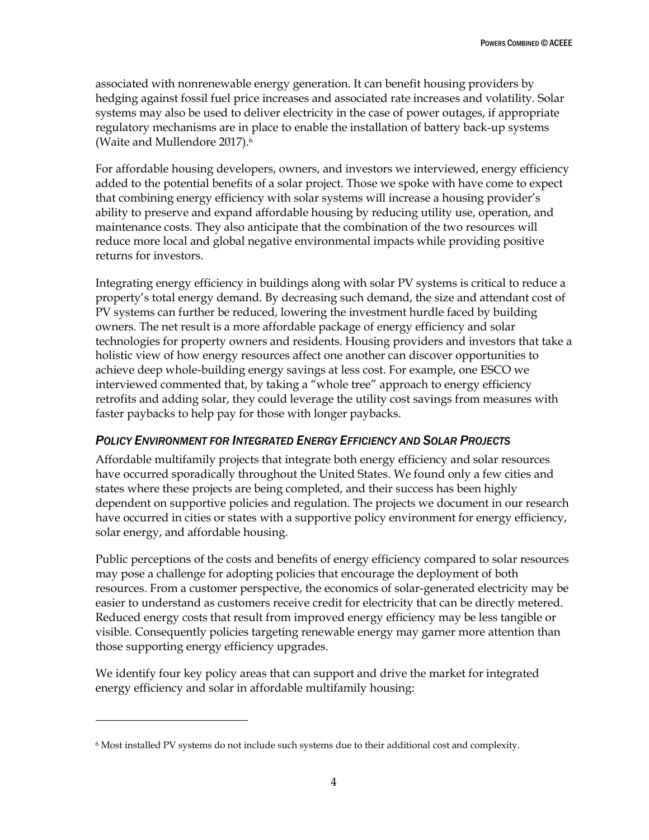associated with nonrenewable energy generation. It can benefit housing providers by hedging against fossil fuel price increases and associated rate increases and volatility. Solar systems may also be used to deliver electricity in the case of power outages, if appropriate regulatory mechanisms are in place to enable the installation of battery back-up systems (Waite and Mullendore 2017).<sup>6</sup>

For affordable housing developers, owners, and investors we interviewed, energy efficiency added to the potential benefits of a solar project. Those we spoke with have come to expect that combining energy efficiency with solar systems will increase a housing provider's ability to preserve and expand affordable housing by reducing utility use, operation, and maintenance costs. They also anticipate that the combination of the two resources will reduce more local and global negative environmental impacts while providing positive returns for investors.

Integrating energy efficiency in buildings along with solar PV systems is critical to reduce a property's total energy demand. By decreasing such demand, the size and attendant cost of PV systems can further be reduced, lowering the investment hurdle faced by building owners. The net result is a more affordable package of energy efficiency and solar technologies for property owners and residents. Housing providers and investors that take a holistic view of how energy resources affect one another can discover opportunities to achieve deep whole-building energy savings at less cost. For example, one ESCO we interviewed commented that, by taking a "whole tree" approach to energy efficiency retrofits and adding solar, they could leverage the utility cost savings from measures with faster paybacks to help pay for those with longer paybacks.

#### <span id="page-10-0"></span>*POLICY ENVIRONMENT FOR INTEGRATED ENERGY EFFICIENCY AND SOLAR PROJECTS*

Affordable multifamily projects that integrate both energy efficiency and solar resources have occurred sporadically throughout the United States. We found only a few cities and states where these projects are being completed, and their success has been highly dependent on supportive policies and regulation. The projects we document in our research have occurred in cities or states with a supportive policy environment for energy efficiency, solar energy, and affordable housing.

Public perceptions of the costs and benefits of energy efficiency compared to solar resources may pose a challenge for adopting policies that encourage the deployment of both resources. From a customer perspective, the economics of solar-generated electricity may be easier to understand as customers receive credit for electricity that can be directly metered. Reduced energy costs that result from improved energy efficiency may be less tangible or visible. Consequently policies targeting renewable energy may garner more attention than those supporting energy efficiency upgrades.

We identify four key policy areas that can support and drive the market for integrated energy efficiency and solar in affordable multifamily housing:

 $\overline{a}$ 

<sup>6</sup> Most installed PV systems do not include such systems due to their additional cost and complexity.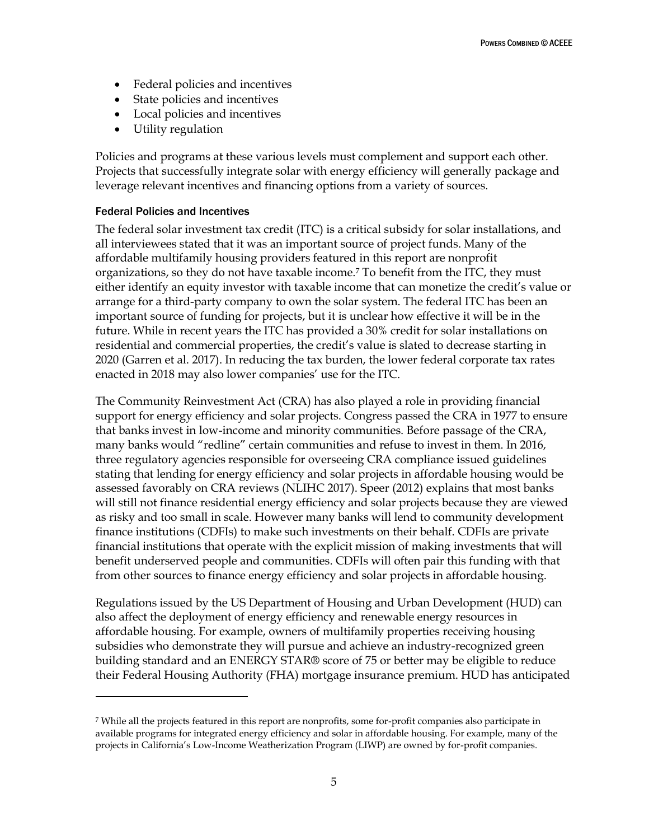- Federal policies and incentives
- State policies and incentives
- Local policies and incentives
- Utility regulation

Policies and programs at these various levels must complement and support each other. Projects that successfully integrate solar with energy efficiency will generally package and leverage relevant incentives and financing options from a variety of sources.

#### Federal Policies and Incentives

 $\overline{a}$ 

The federal solar investment tax credit (ITC) is a critical subsidy for solar installations, and all interviewees stated that it was an important source of project funds. Many of the affordable multifamily housing providers featured in this report are nonprofit organizations, so they do not have taxable income.<sup>7</sup> To benefit from the ITC, they must either identify an equity investor with taxable income that can monetize the credit's value or arrange for a third-party company to own the solar system. The federal ITC has been an important source of funding for projects, but it is unclear how effective it will be in the future. While in recent years the ITC has provided a 30% credit for solar installations on residential and commercial properties, the credit's value is slated to decrease starting in 2020 (Garren et al. 2017). In reducing the tax burden, the lower federal corporate tax rates enacted in 2018 may also lower companies' use for the ITC.

The Community Reinvestment Act (CRA) has also played a role in providing financial support for energy efficiency and solar projects. Congress passed the CRA in 1977 to ensure that banks invest in low-income and minority communities. Before passage of the CRA, many banks would "redline" certain communities and refuse to invest in them. In 2016, three regulatory agencies responsible for overseeing CRA compliance issued guidelines stating that lending for energy efficiency and solar projects in affordable housing would be assessed favorably on CRA reviews (NLIHC 2017). Speer (2012) explains that most banks will still not finance residential energy efficiency and solar projects because they are viewed as risky and too small in scale. However many banks will lend to community development finance institutions (CDFIs) to make such investments on their behalf. CDFIs are private financial institutions that operate with the explicit mission of making investments that will benefit underserved people and communities. CDFIs will often pair this funding with that from other sources to finance energy efficiency and solar projects in affordable housing.

Regulations issued by the US Department of Housing and Urban Development (HUD) can also affect the deployment of energy efficiency and renewable energy resources in affordable housing. For example, owners of multifamily properties receiving housing subsidies who demonstrate they will pursue and achieve an industry-recognized green building standard and an ENERGY STAR® score of 75 or better may be eligible to reduce their Federal Housing Authority (FHA) mortgage insurance premium. HUD has anticipated

<sup>7</sup> While all the projects featured in this report are nonprofits, some for-profit companies also participate in available programs for integrated energy efficiency and solar in affordable housing. For example, many of the projects in California's Low-Income Weatherization Program (LIWP) are owned by for-profit companies.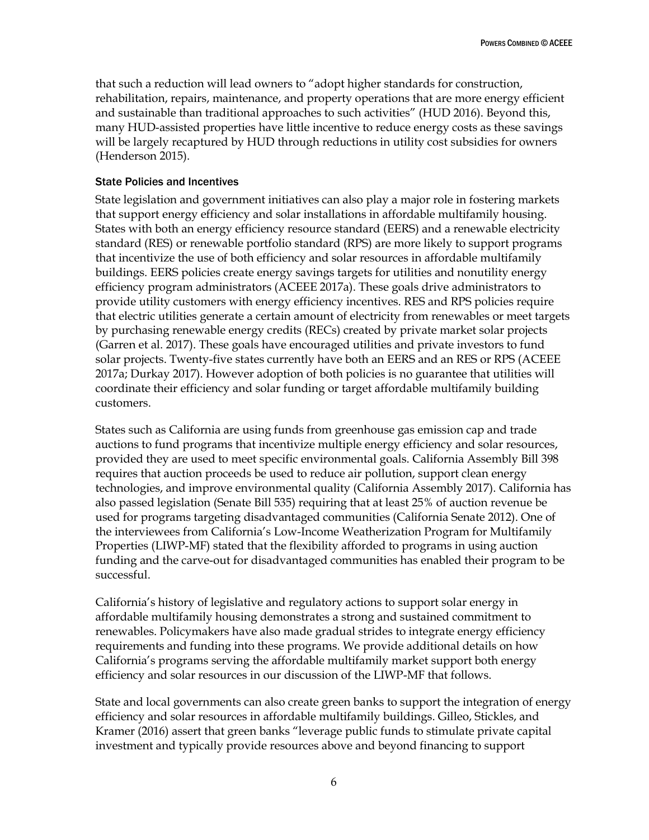that such a reduction will lead owners to "adopt higher standards for construction, rehabilitation, repairs, maintenance, and property operations that are more energy efficient and sustainable than traditional approaches to such activities" (HUD 2016). Beyond this, many HUD-assisted properties have little incentive to reduce energy costs as these savings will be largely recaptured by HUD through reductions in utility cost subsidies for owners (Henderson 2015).

#### State Policies and Incentives

State legislation and government initiatives can also play a major role in fostering markets that support energy efficiency and solar installations in affordable multifamily housing. States with both an energy efficiency resource standard (EERS) and a renewable electricity standard (RES) or renewable portfolio standard (RPS) are more likely to support programs that incentivize the use of both efficiency and solar resources in affordable multifamily buildings. EERS policies create energy savings targets for utilities and nonutility energy efficiency program administrators (ACEEE 2017a). These goals drive administrators to provide utility customers with energy efficiency incentives. RES and RPS policies require that electric utilities generate a certain amount of electricity from renewables or meet targets by purchasing renewable energy credits (RECs) created by private market solar projects (Garren et al. 2017). These goals have encouraged utilities and private investors to fund solar projects. Twenty-five states currently have both an EERS and an RES or RPS (ACEEE 2017a; Durkay 2017). However adoption of both policies is no guarantee that utilities will coordinate their efficiency and solar funding or target affordable multifamily building customers.

States such as California are using funds from greenhouse gas emission cap and trade auctions to fund programs that incentivize multiple energy efficiency and solar resources, provided they are used to meet specific environmental goals. California Assembly Bill 398 requires that auction proceeds be used to reduce air pollution, support clean energy technologies, and improve environmental quality (California Assembly 2017). California has also passed legislation (Senate Bill 535) requiring that at least 25% of auction revenue be used for programs targeting disadvantaged communities (California Senate 2012). One of the interviewees from California's Low-Income Weatherization Program for Multifamily Properties (LIWP-MF) stated that the flexibility afforded to programs in using auction funding and the carve-out for disadvantaged communities has enabled their program to be successful.

California's history of legislative and regulatory actions to support solar energy in affordable multifamily housing demonstrates a strong and sustained commitment to renewables. Policymakers have also made gradual strides to integrate energy efficiency requirements and funding into these programs. We provide additional details on how California's programs serving the affordable multifamily market support both energy efficiency and solar resources in our discussion of the LIWP-MF that follows.

State and local governments can also create green banks to support the integration of energy efficiency and solar resources in affordable multifamily buildings. Gilleo, Stickles, and Kramer (2016) assert that green banks "leverage public funds to stimulate private capital investment and typically provide resources above and beyond financing to support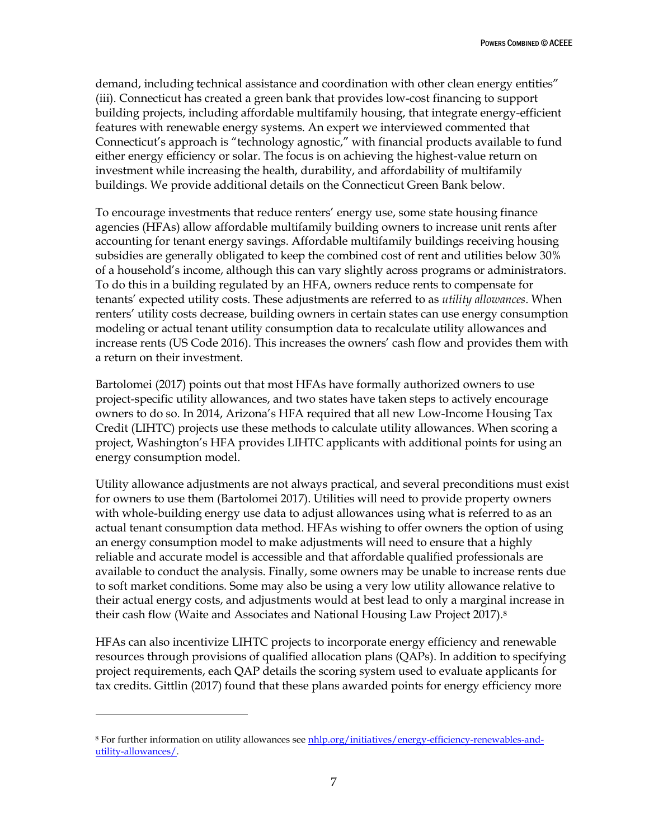demand, including technical assistance and coordination with other clean energy entities" (iii). Connecticut has created a green bank that provides low-cost financing to support building projects, including affordable multifamily housing, that integrate energy-efficient features with renewable energy systems. An expert we interviewed commented that Connecticut's approach is "technology agnostic," with financial products available to fund either energy efficiency or solar. The focus is on achieving the highest-value return on investment while increasing the health, durability, and affordability of multifamily buildings. We provide additional details on the Connecticut Green Bank below.

To encourage investments that reduce renters' energy use, some state housing finance agencies (HFAs) allow affordable multifamily building owners to increase unit rents after accounting for tenant energy savings. Affordable multifamily buildings receiving housing subsidies are generally obligated to keep the combined cost of rent and utilities below 30% of a household's income, although this can vary slightly across programs or administrators. To do this in a building regulated by an HFA, owners reduce rents to compensate for tenants' expected utility costs. These adjustments are referred to as *utility allowances*. When renters' utility costs decrease, building owners in certain states can use energy consumption modeling or actual tenant utility consumption data to recalculate utility allowances and increase rents (US Code 2016). This increases the owners' cash flow and provides them with a return on their investment.

Bartolomei (2017) points out that most HFAs have formally authorized owners to use project-specific utility allowances, and two states have taken steps to actively encourage owners to do so. In 2014, Arizona's HFA required that all new Low-Income Housing Tax Credit (LIHTC) projects use these methods to calculate utility allowances. When scoring a project, Washington's HFA provides LIHTC applicants with additional points for using an energy consumption model.

Utility allowance adjustments are not always practical, and several preconditions must exist for owners to use them (Bartolomei 2017). Utilities will need to provide property owners with whole-building energy use data to adjust allowances using what is referred to as an actual tenant consumption data method. HFAs wishing to offer owners the option of using an energy consumption model to make adjustments will need to ensure that a highly reliable and accurate model is accessible and that affordable qualified professionals are available to conduct the analysis. Finally, some owners may be unable to increase rents due to soft market conditions. Some may also be using a very low utility allowance relative to their actual energy costs, and adjustments would at best lead to only a marginal increase in their cash flow (Waite and Associates and National Housing Law Project 2017).<sup>8</sup>

HFAs can also incentivize LIHTC projects to incorporate energy efficiency and renewable resources through provisions of qualified allocation plans (QAPs). In addition to specifying project requirements, each QAP details the scoring system used to evaluate applicants for tax credits. Gittlin (2017) found that these plans awarded points for energy efficiency more

 $\overline{a}$ 

<sup>&</sup>lt;sup>8</sup> For further information on utility allowances se[e nhlp.org/initiatives/energy-efficiency-renewables-and](https://www.nhlp.org/initiatives/energy-efficiency-renewables-and-utility-allowances/)[utility-allowances/.](https://www.nhlp.org/initiatives/energy-efficiency-renewables-and-utility-allowances/)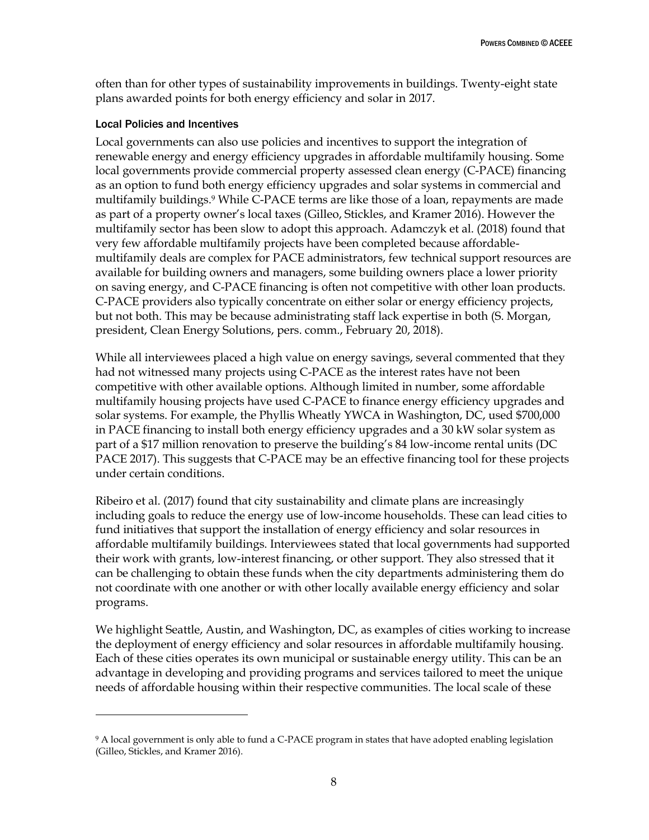often than for other types of sustainability improvements in buildings. Twenty-eight state plans awarded points for both energy efficiency and solar in 2017.

#### Local Policies and Incentives

 $\overline{a}$ 

Local governments can also use policies and incentives to support the integration of renewable energy and energy efficiency upgrades in affordable multifamily housing. Some local governments provide commercial property assessed clean energy (C-PACE) financing as an option to fund both energy efficiency upgrades and solar systems in commercial and multifamily buildings.<sup>9</sup> While C-PACE terms are like those of a loan, repayments are made as part of a property owner's local taxes (Gilleo, Stickles, and Kramer 2016). However the multifamily sector has been slow to adopt this approach. Adamczyk et al. (2018) found that very few affordable multifamily projects have been completed because affordablemultifamily deals are complex for PACE administrators, few technical support resources are available for building owners and managers, some building owners place a lower priority on saving energy, and C-PACE financing is often not competitive with other loan products. C-PACE providers also typically concentrate on either solar or energy efficiency projects, but not both. This may be because administrating staff lack expertise in both (S. Morgan, president, Clean Energy Solutions, pers. comm., February 20, 2018).

While all interviewees placed a high value on energy savings, several commented that they had not witnessed many projects using C-PACE as the interest rates have not been competitive with other available options. Although limited in number, some affordable multifamily housing projects have used C-PACE to finance energy efficiency upgrades and solar systems. For example, the Phyllis Wheatly YWCA in Washington, DC, used \$700,000 in PACE financing to install both energy efficiency upgrades and a 30 kW solar system as part of a \$17 million renovation to preserve the building's 84 low-income rental units (DC PACE 2017). This suggests that C-PACE may be an effective financing tool for these projects under certain conditions.

Ribeiro et al. (2017) found that city sustainability and climate plans are increasingly including goals to reduce the energy use of low-income households. These can lead cities to fund initiatives that support the installation of energy efficiency and solar resources in affordable multifamily buildings. Interviewees stated that local governments had supported their work with grants, low-interest financing, or other support. They also stressed that it can be challenging to obtain these funds when the city departments administering them do not coordinate with one another or with other locally available energy efficiency and solar programs.

We highlight Seattle, Austin, and Washington, DC, as examples of cities working to increase the deployment of energy efficiency and solar resources in affordable multifamily housing. Each of these cities operates its own municipal or sustainable energy utility. This can be an advantage in developing and providing programs and services tailored to meet the unique needs of affordable housing within their respective communities. The local scale of these

<sup>&</sup>lt;sup>9</sup> A local government is only able to fund a C-PACE program in states that have adopted enabling legislation (Gilleo, Stickles, and Kramer 2016).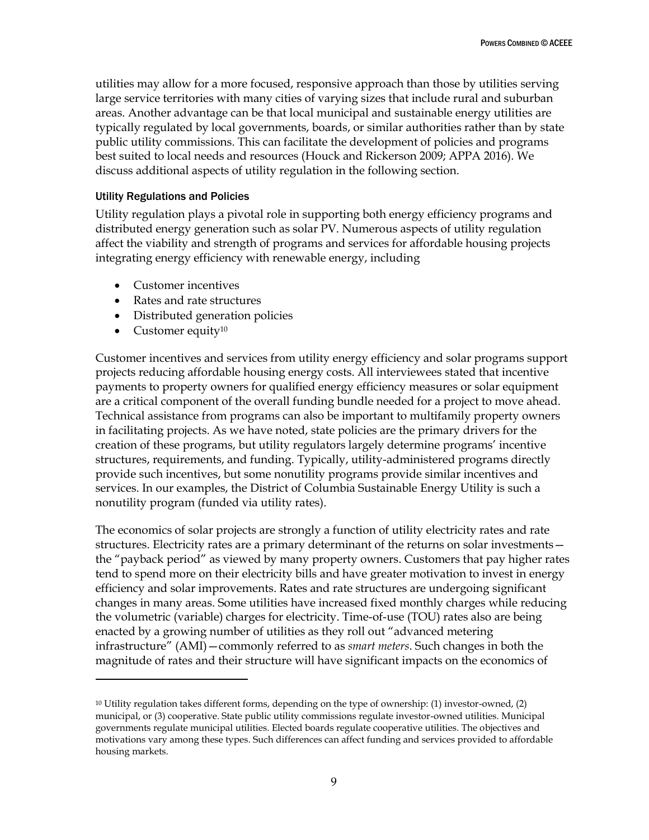utilities may allow for a more focused, responsive approach than those by utilities serving large service territories with many cities of varying sizes that include rural and suburban areas. Another advantage can be that local municipal and sustainable energy utilities are typically regulated by local governments, boards, or similar authorities rather than by state public utility commissions. This can facilitate the development of policies and programs best suited to local needs and resources (Houck and Rickerson 2009; APPA 2016). We discuss additional aspects of utility regulation in the following section.

#### Utility Regulations and Policies

Utility regulation plays a pivotal role in supporting both energy efficiency programs and distributed energy generation such as solar PV. Numerous aspects of utility regulation affect the viability and strength of programs and services for affordable housing projects integrating energy efficiency with renewable energy, including

- Customer incentives
- Rates and rate structures
- Distributed generation policies
- $\bullet$  Customer equity<sup>10</sup>

 $\overline{a}$ 

Customer incentives and services from utility energy efficiency and solar programs support projects reducing affordable housing energy costs. All interviewees stated that incentive payments to property owners for qualified energy efficiency measures or solar equipment are a critical component of the overall funding bundle needed for a project to move ahead. Technical assistance from programs can also be important to multifamily property owners in facilitating projects. As we have noted, state policies are the primary drivers for the creation of these programs, but utility regulators largely determine programs' incentive structures, requirements, and funding. Typically, utility-administered programs directly provide such incentives, but some nonutility programs provide similar incentives and services. In our examples, the District of Columbia Sustainable Energy Utility is such a nonutility program (funded via utility rates).

The economics of solar projects are strongly a function of utility electricity rates and rate structures. Electricity rates are a primary determinant of the returns on solar investments the "payback period" as viewed by many property owners. Customers that pay higher rates tend to spend more on their electricity bills and have greater motivation to invest in energy efficiency and solar improvements. Rates and rate structures are undergoing significant changes in many areas. Some utilities have increased fixed monthly charges while reducing the volumetric (variable) charges for electricity. Time-of-use (TOU) rates also are being enacted by a growing number of utilities as they roll out "advanced metering infrastructure" (AMI)—commonly referred to as *smart meters*. Such changes in both the magnitude of rates and their structure will have significant impacts on the economics of

<sup>10</sup> Utility regulation takes different forms, depending on the type of ownership: (1) investor-owned, (2) municipal, or (3) cooperative. State public utility commissions regulate investor-owned utilities. Municipal governments regulate municipal utilities. Elected boards regulate cooperative utilities. The objectives and motivations vary among these types. Such differences can affect funding and services provided to affordable housing markets.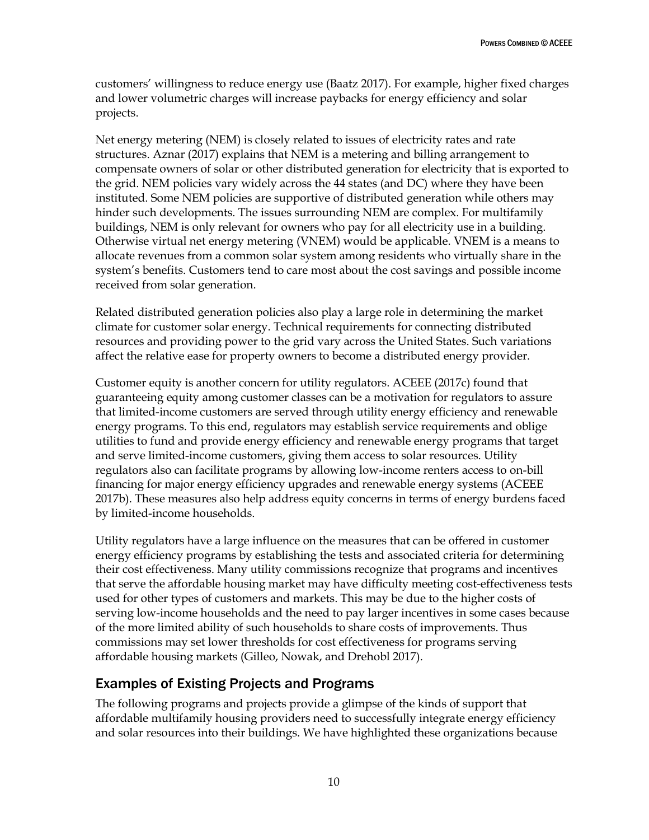customers' willingness to reduce energy use (Baatz 2017). For example, higher fixed charges and lower volumetric charges will increase paybacks for energy efficiency and solar projects.

Net energy metering (NEM) is closely related to issues of electricity rates and rate structures. Aznar (2017) explains that NEM is a metering and billing arrangement to compensate owners of solar or other distributed generation for electricity that is exported to the grid. NEM policies vary widely across the 44 states (and DC) where they have been instituted. Some NEM policies are supportive of distributed generation while others may hinder such developments. The issues surrounding NEM are complex. For multifamily buildings, NEM is only relevant for owners who pay for all electricity use in a building. Otherwise virtual net energy metering (VNEM) would be applicable. VNEM is a means to allocate revenues from a common solar system among residents who virtually share in the system's benefits. Customers tend to care most about the cost savings and possible income received from solar generation.

Related distributed generation policies also play a large role in determining the market climate for customer solar energy. Technical requirements for connecting distributed resources and providing power to the grid vary across the United States. Such variations affect the relative ease for property owners to become a distributed energy provider.

Customer equity is another concern for utility regulators. ACEEE (2017c) found that guaranteeing equity among customer classes can be a motivation for regulators to assure that limited-income customers are served through utility energy efficiency and renewable energy programs. To this end, regulators may establish service requirements and oblige utilities to fund and provide energy efficiency and renewable energy programs that target and serve limited-income customers, giving them access to solar resources. Utility regulators also can facilitate programs by allowing low-income renters access to on-bill financing for major energy efficiency upgrades and renewable energy systems (ACEEE 2017b). These measures also help address equity concerns in terms of energy burdens faced by limited-income households.

Utility regulators have a large influence on the measures that can be offered in customer energy efficiency programs by establishing the tests and associated criteria for determining their cost effectiveness. Many utility commissions recognize that programs and incentives that serve the affordable housing market may have difficulty meeting cost-effectiveness tests used for other types of customers and markets. This may be due to the higher costs of serving low-income households and the need to pay larger incentives in some cases because of the more limited ability of such households to share costs of improvements. Thus commissions may set lower thresholds for cost effectiveness for programs serving affordable housing markets (Gilleo, Nowak, and Drehobl 2017).

# <span id="page-16-0"></span>Examples of Existing Projects and Programs

The following programs and projects provide a glimpse of the kinds of support that affordable multifamily housing providers need to successfully integrate energy efficiency and solar resources into their buildings. We have highlighted these organizations because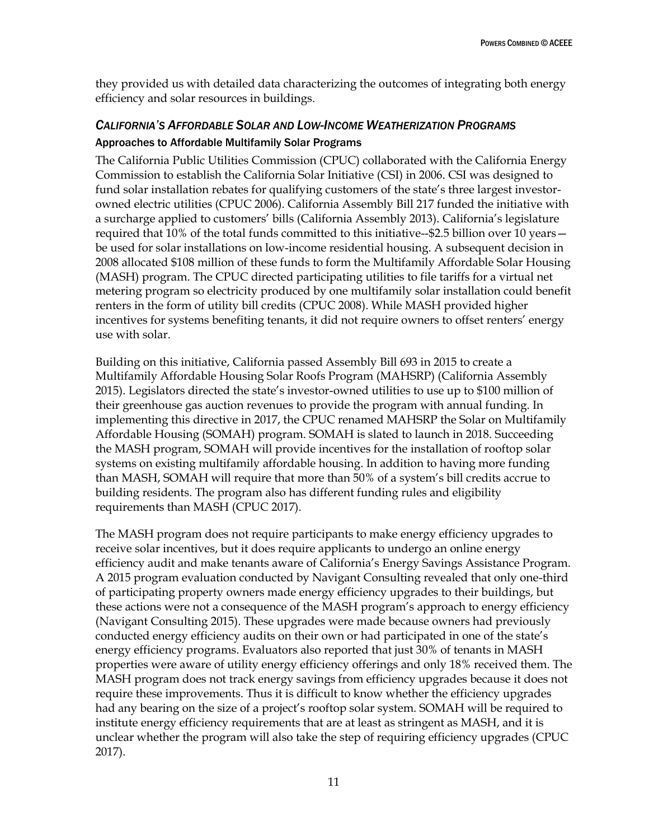they provided us with detailed data characterizing the outcomes of integrating both energy efficiency and solar resources in buildings.

## <span id="page-17-0"></span>*CALIFORNIA'S AFFORDABLE SOLAR AND LOW-INCOME WEATHERIZATION PROGRAMS* Approaches to Affordable Multifamily Solar Programs

The California Public Utilities Commission (CPUC) collaborated with the California Energy Commission to establish the California Solar Initiative (CSI) in 2006. CSI was designed to fund solar installation rebates for qualifying customers of the state's three largest investorowned electric utilities (CPUC 2006). California Assembly Bill 217 funded the initiative with a surcharge applied to customers' bills (California Assembly 2013). California's legislature required that 10% of the total funds committed to this initiative--\$2.5 billion over 10 years be used for solar installations on low-income residential housing. A subsequent decision in 2008 allocated \$108 million of these funds to form the Multifamily Affordable Solar Housing (MASH) program. The CPUC directed participating utilities to file tariffs for a virtual net metering program so electricity produced by one multifamily solar installation could benefit renters in the form of utility bill credits (CPUC 2008). While MASH provided higher incentives for systems benefiting tenants, it did not require owners to offset renters' energy use with solar.

Building on this initiative, California passed Assembly Bill 693 in 2015 to create a Multifamily Affordable Housing Solar Roofs Program (MAHSRP) (California Assembly 2015). Legislators directed the state's investor-owned utilities to use up to \$100 million of their greenhouse gas auction revenues to provide the program with annual funding. In implementing this directive in 2017, the CPUC renamed MAHSRP the Solar on Multifamily Affordable Housing (SOMAH) program. SOMAH is slated to launch in 2018. Succeeding the MASH program, SOMAH will provide incentives for the installation of rooftop solar systems on existing multifamily affordable housing. In addition to having more funding than MASH, SOMAH will require that more than 50% of a system's bill credits accrue to building residents. The program also has different funding rules and eligibility requirements than MASH (CPUC 2017).

The MASH program does not require participants to make energy efficiency upgrades to receive solar incentives, but it does require applicants to undergo an online energy efficiency audit and make tenants aware of California's Energy Savings Assistance Program. A 2015 program evaluation conducted by Navigant Consulting revealed that only one-third of participating property owners made energy efficiency upgrades to their buildings, but these actions were not a consequence of the MASH program's approach to energy efficiency (Navigant Consulting 2015). These upgrades were made because owners had previously conducted energy efficiency audits on their own or had participated in one of the state's energy efficiency programs. Evaluators also reported that just 30% of tenants in MASH properties were aware of utility energy efficiency offerings and only 18% received them. The MASH program does not track energy savings from efficiency upgrades because it does not require these improvements. Thus it is difficult to know whether the efficiency upgrades had any bearing on the size of a project's rooftop solar system. SOMAH will be required to institute energy efficiency requirements that are at least as stringent as MASH, and it is unclear whether the program will also take the step of requiring efficiency upgrades (CPUC 2017).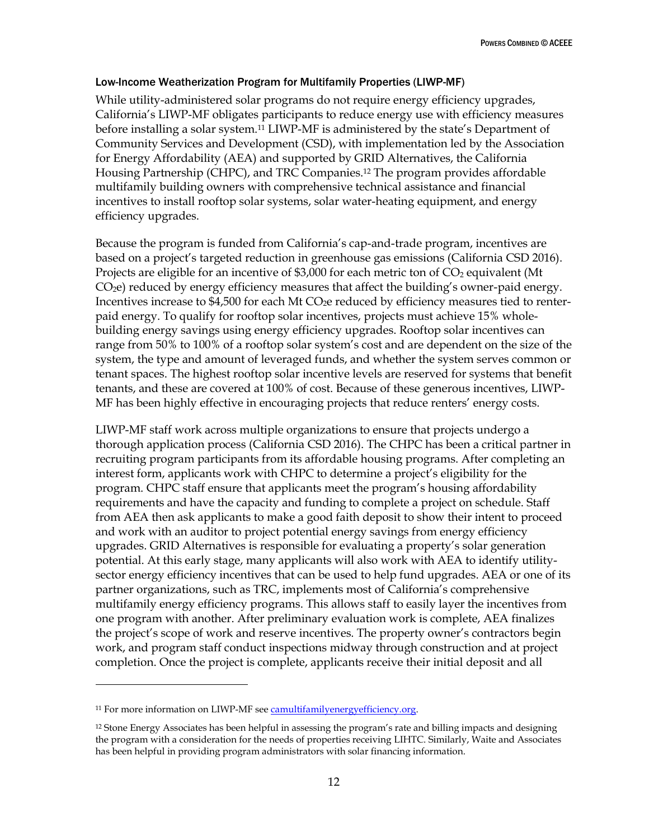#### Low-Income Weatherization Program for Multifamily Properties (LIWP-MF)

While utility-administered solar programs do not require energy efficiency upgrades, California's LIWP-MF obligates participants to reduce energy use with efficiency measures before installing a solar system.<sup>11</sup> LIWP-MF is administered by the state's Department of Community Services and Development (CSD), with implementation led by the Association for Energy Affordability (AEA) and supported by GRID Alternatives, the California Housing Partnership (CHPC), and TRC Companies.<sup>12</sup> The program provides affordable multifamily building owners with comprehensive technical assistance and financial incentives to install rooftop solar systems, solar water-heating equipment, and energy efficiency upgrades.

Because the program is funded from California's cap-and-trade program, incentives are based on a project's targeted reduction in greenhouse gas emissions (California CSD 2016). Projects are eligible for an incentive of \$3,000 for each metric ton of  $CO<sub>2</sub>$  equivalent (Mt  $CO<sub>2</sub>e$ ) reduced by energy efficiency measures that affect the building's owner-paid energy. Incentives increase to  $$4,500$  for each Mt CO<sub>2</sub>e reduced by efficiency measures tied to renterpaid energy. To qualify for rooftop solar incentives, projects must achieve 15% wholebuilding energy savings using energy efficiency upgrades. Rooftop solar incentives can range from 50% to 100% of a rooftop solar system's cost and are dependent on the size of the system, the type and amount of leveraged funds, and whether the system serves common or tenant spaces. The highest rooftop solar incentive levels are reserved for systems that benefit tenants, and these are covered at 100% of cost. Because of these generous incentives, LIWP-MF has been highly effective in encouraging projects that reduce renters' energy costs.

LIWP-MF staff work across multiple organizations to ensure that projects undergo a thorough application process (California CSD 2016). The CHPC has been a critical partner in recruiting program participants from its affordable housing programs. After completing an interest form, applicants work with CHPC to determine a project's eligibility for the program. CHPC staff ensure that applicants meet the program's housing affordability requirements and have the capacity and funding to complete a project on schedule. Staff from AEA then ask applicants to make a good faith deposit to show their intent to proceed and work with an auditor to project potential energy savings from energy efficiency upgrades. GRID Alternatives is responsible for evaluating a property's solar generation potential. At this early stage, many applicants will also work with AEA to identify utilitysector energy efficiency incentives that can be used to help fund upgrades. AEA or one of its partner organizations, such as TRC, implements most of California's comprehensive multifamily energy efficiency programs. This allows staff to easily layer the incentives from one program with another. After preliminary evaluation work is complete, AEA finalizes the project's scope of work and reserve incentives. The property owner's contractors begin work, and program staff conduct inspections midway through construction and at project completion. Once the project is complete, applicants receive their initial deposit and all

 $\overline{a}$ 

<sup>11</sup> For more information on LIWP-MF se[e camultifamilyenergyefficiency.org.](https://camultifamilyenergyefficiency.org/) 

<sup>12</sup> Stone Energy Associates has been helpful in assessing the program's rate and billing impacts and designing the program with a consideration for the needs of properties receiving LIHTC. Similarly, Waite and Associates has been helpful in providing program administrators with solar financing information.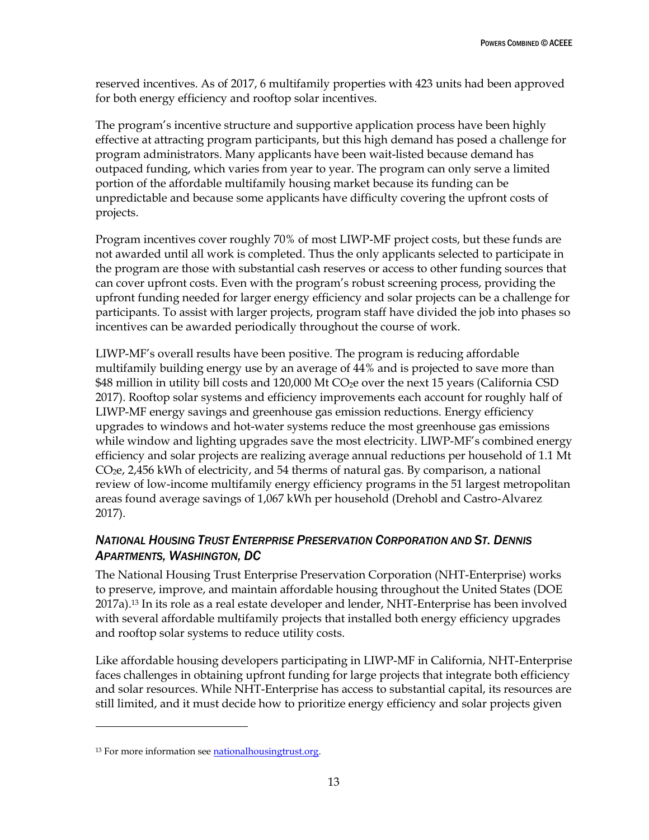reserved incentives. As of 2017, 6 multifamily properties with 423 units had been approved for both energy efficiency and rooftop solar incentives.

The program's incentive structure and supportive application process have been highly effective at attracting program participants, but this high demand has posed a challenge for program administrators. Many applicants have been wait-listed because demand has outpaced funding, which varies from year to year. The program can only serve a limited portion of the affordable multifamily housing market because its funding can be unpredictable and because some applicants have difficulty covering the upfront costs of projects.

Program incentives cover roughly 70% of most LIWP-MF project costs, but these funds are not awarded until all work is completed. Thus the only applicants selected to participate in the program are those with substantial cash reserves or access to other funding sources that can cover upfront costs. Even with the program's robust screening process, providing the upfront funding needed for larger energy efficiency and solar projects can be a challenge for participants. To assist with larger projects, program staff have divided the job into phases so incentives can be awarded periodically throughout the course of work.

LIWP-MF's overall results have been positive. The program is reducing affordable multifamily building energy use by an average of 44% and is projected to save more than \$48 million in utility bill costs and 120,000 Mt  $CO<sub>2</sub>e$  over the next 15 years (California CSD 2017). Rooftop solar systems and efficiency improvements each account for roughly half of LIWP-MF energy savings and greenhouse gas emission reductions. Energy efficiency upgrades to windows and hot-water systems reduce the most greenhouse gas emissions while window and lighting upgrades save the most electricity. LIWP-MF's combined energy efficiency and solar projects are realizing average annual reductions per household of 1.1 Mt  $CO<sub>2</sub>e$ , 2,456 kWh of electricity, and 54 therms of natural gas. By comparison, a national review of low-income multifamily energy efficiency programs in the 51 largest metropolitan areas found average savings of 1,067 kWh per household (Drehobl and Castro-Alvarez 2017).

## <span id="page-19-0"></span>*NATIONAL HOUSING TRUST ENTERPRISE PRESERVATION CORPORATION AND ST. DENNIS APARTMENTS, WASHINGTON, DC*

The National Housing Trust Enterprise Preservation Corporation (NHT-Enterprise) works to preserve, improve, and maintain affordable housing throughout the United States (DOE 2017a).<sup>13</sup> In its role as a real estate developer and lender, NHT-Enterprise has been involved with several affordable multifamily projects that installed both energy efficiency upgrades and rooftop solar systems to reduce utility costs.

Like affordable housing developers participating in LIWP-MF in California, NHT-Enterprise faces challenges in obtaining upfront funding for large projects that integrate both efficiency and solar resources. While NHT-Enterprise has access to substantial capital, its resources are still limited, and it must decide how to prioritize energy efficiency and solar projects given

 $\ddot{\phantom{a}}$ 

<sup>&</sup>lt;sup>13</sup> For more information see **nationalhousingtrust.org**.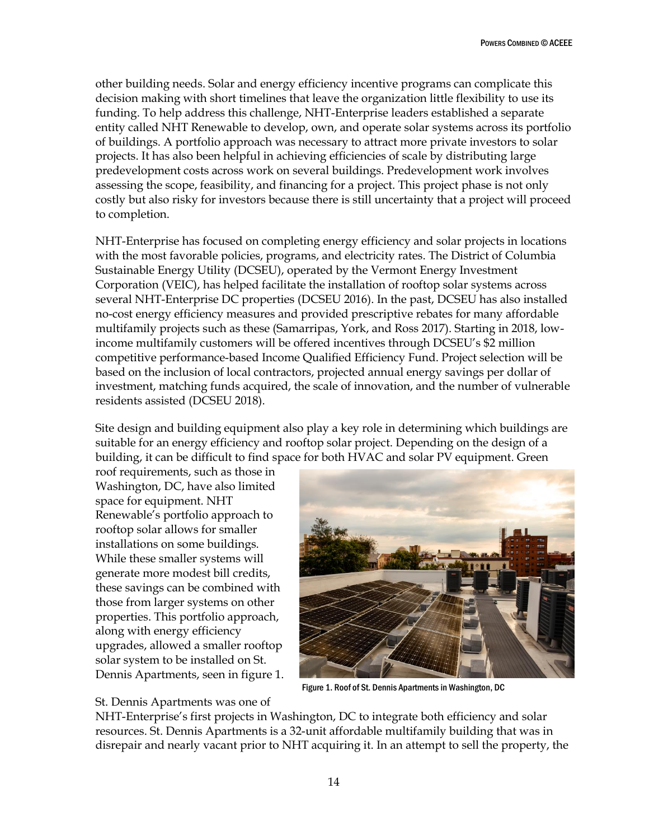other building needs. Solar and energy efficiency incentive programs can complicate this decision making with short timelines that leave the organization little flexibility to use its funding. To help address this challenge, NHT-Enterprise leaders established a separate entity called NHT Renewable to develop, own, and operate solar systems across its portfolio of buildings. A portfolio approach was necessary to attract more private investors to solar projects. It has also been helpful in achieving efficiencies of scale by distributing large predevelopment costs across work on several buildings. Predevelopment work involves assessing the scope, feasibility, and financing for a project. This project phase is not only costly but also risky for investors because there is still uncertainty that a project will proceed to completion.

NHT-Enterprise has focused on completing energy efficiency and solar projects in locations with the most favorable policies, programs, and electricity rates. The District of Columbia Sustainable Energy Utility (DCSEU), operated by the Vermont Energy Investment Corporation (VEIC), has helped facilitate the installation of rooftop solar systems across several NHT-Enterprise DC properties (DCSEU 2016). In the past, DCSEU has also installed no-cost energy efficiency measures and provided prescriptive rebates for many affordable multifamily projects such as these (Samarripas, York, and Ross 2017). Starting in 2018, lowincome multifamily customers will be offered incentives through DCSEU's \$2 million competitive performance-based Income Qualified Efficiency Fund. Project selection will be based on the inclusion of local contractors, projected annual energy savings per dollar of investment, matching funds acquired, the scale of innovation, and the number of vulnerable residents assisted (DCSEU 2018).

Site design and building equipment also play a key role in determining which buildings are suitable for an energy efficiency and rooftop solar project. Depending on the design of a building, it can be difficult to find space for both HVAC and solar PV equipment. Green

roof requirements, such as those in Washington, DC, have also limited space for equipment. NHT Renewable's portfolio approach to rooftop solar allows for smaller installations on some buildings. While these smaller systems will generate more modest bill credits, these savings can be combined with those from larger systems on other properties. This portfolio approach, along with energy efficiency upgrades, allowed a smaller rooftop solar system to be installed on St. Dennis Apartments, seen in figure 1.



Figure 1. Roof of St. Dennis Apartments in Washington, DC

#### St. Dennis Apartments was one of

NHT-Enterprise's first projects in Washington, DC to integrate both efficiency and solar resources. St. Dennis Apartments is a 32-unit affordable multifamily building that was in disrepair and nearly vacant prior to NHT acquiring it. In an attempt to sell the property, the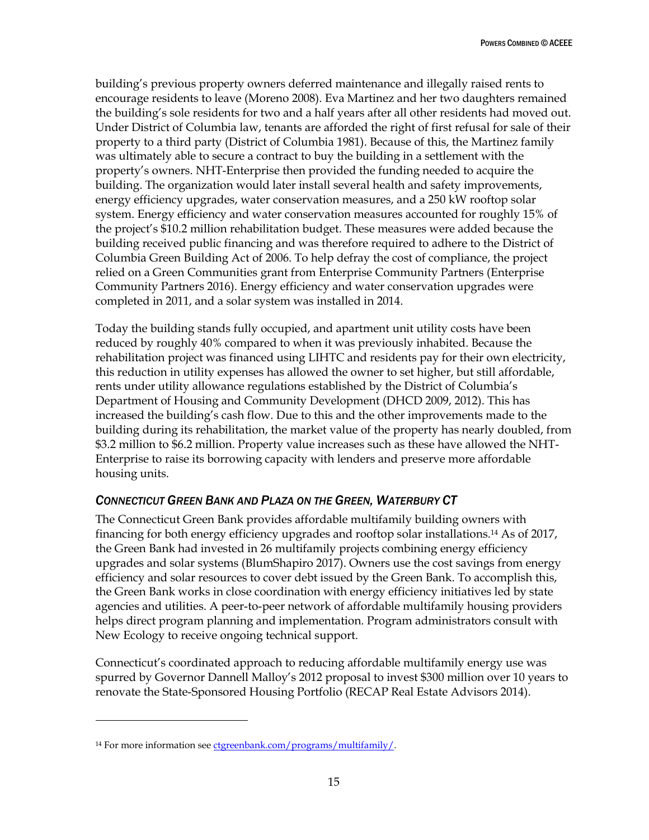building's previous property owners deferred maintenance and illegally raised rents to encourage residents to leave (Moreno 2008). Eva Martinez and her two daughters remained the building's sole residents for two and a half years after all other residents had moved out. Under District of Columbia law, tenants are afforded the right of first refusal for sale of their property to a third party (District of Columbia 1981). Because of this, the Martinez family was ultimately able to secure a contract to buy the building in a settlement with the property's owners. NHT-Enterprise then provided the funding needed to acquire the building. The organization would later install several health and safety improvements, energy efficiency upgrades, water conservation measures, and a 250 kW rooftop solar system. Energy efficiency and water conservation measures accounted for roughly 15% of the project's \$10.2 million rehabilitation budget. These measures were added because the building received public financing and was therefore required to adhere to the District of Columbia Green Building Act of 2006. To help defray the cost of compliance, the project relied on a Green Communities grant from Enterprise Community Partners (Enterprise Community Partners 2016). Energy efficiency and water conservation upgrades were completed in 2011, and a solar system was installed in 2014.

Today the building stands fully occupied, and apartment unit utility costs have been reduced by roughly 40% compared to when it was previously inhabited. Because the rehabilitation project was financed using LIHTC and residents pay for their own electricity, this reduction in utility expenses has allowed the owner to set higher, but still affordable, rents under utility allowance regulations established by the District of Columbia's Department of Housing and Community Development (DHCD 2009, 2012). This has increased the building's cash flow. Due to this and the other improvements made to the building during its rehabilitation, the market value of the property has nearly doubled, from \$3.2 million to \$6.2 million. Property value increases such as these have allowed the NHT-Enterprise to raise its borrowing capacity with lenders and preserve more affordable housing units.

### <span id="page-21-0"></span>*CONNECTICUT GREEN BANK AND PLAZA ON THE GREEN, WATERBURY CT*

The Connecticut Green Bank provides affordable multifamily building owners with financing for both energy efficiency upgrades and rooftop solar installations.<sup>14</sup> As of 2017, the Green Bank had invested in 26 multifamily projects combining energy efficiency upgrades and solar systems (BlumShapiro 2017). Owners use the cost savings from energy efficiency and solar resources to cover debt issued by the Green Bank. To accomplish this, the Green Bank works in close coordination with energy efficiency initiatives led by state agencies and utilities. A peer-to-peer network of affordable multifamily housing providers helps direct program planning and implementation. Program administrators consult with New Ecology to receive ongoing technical support.

Connecticut's coordinated approach to reducing affordable multifamily energy use was spurred by Governor Dannell Malloy's 2012 proposal to invest \$300 million over 10 years to renovate the State-Sponsored Housing Portfolio (RECAP Real Estate Advisors 2014).

 $\ddot{\phantom{a}}$ 

<sup>&</sup>lt;sup>14</sup> For more information se[e ctgreenbank.com/programs/multifamily/.](https://www.ctgreenbank.com/programs/multifamily/)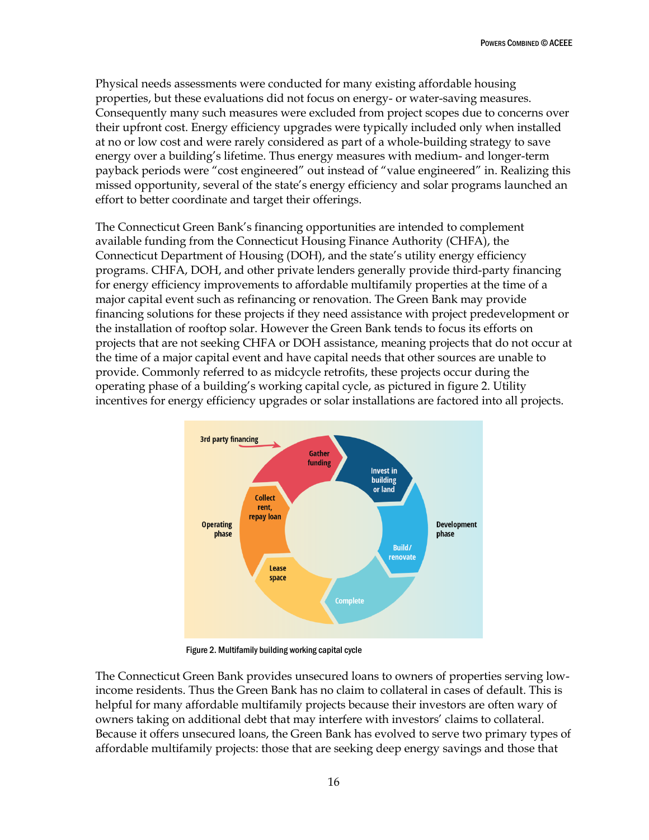Physical needs assessments were conducted for many existing affordable housing properties, but these evaluations did not focus on energy- or water-saving measures. Consequently many such measures were excluded from project scopes due to concerns over their upfront cost. Energy efficiency upgrades were typically included only when installed at no or low cost and were rarely considered as part of a whole-building strategy to save energy over a building's lifetime. Thus energy measures with medium- and longer-term payback periods were "cost engineered" out instead of "value engineered" in. Realizing this missed opportunity, several of the state's energy efficiency and solar programs launched an effort to better coordinate and target their offerings.

The Connecticut Green Bank's financing opportunities are intended to complement available funding from the Connecticut Housing Finance Authority (CHFA), the Connecticut Department of Housing (DOH), and the state's utility energy efficiency programs. CHFA, DOH, and other private lenders generally provide third-party financing for energy efficiency improvements to affordable multifamily properties at the time of a major capital event such as refinancing or renovation. The Green Bank may provide financing solutions for these projects if they need assistance with project predevelopment or the installation of rooftop solar. However the Green Bank tends to focus its efforts on projects that are not seeking CHFA or DOH assistance, meaning projects that do not occur at the time of a major capital event and have capital needs that other sources are unable to provide. Commonly referred to as midcycle retrofits, these projects occur during the operating phase of a building's working capital cycle, as pictured in figure 2. Utility incentives for energy efficiency upgrades or solar installations are factored into all projects.



Figure 2. Multifamily building working capital cycle

The Connecticut Green Bank provides unsecured loans to owners of properties serving lowincome residents. Thus the Green Bank has no claim to collateral in cases of default. This is helpful for many affordable multifamily projects because their investors are often wary of owners taking on additional debt that may interfere with investors' claims to collateral. Because it offers unsecured loans, the Green Bank has evolved to serve two primary types of affordable multifamily projects: those that are seeking deep energy savings and those that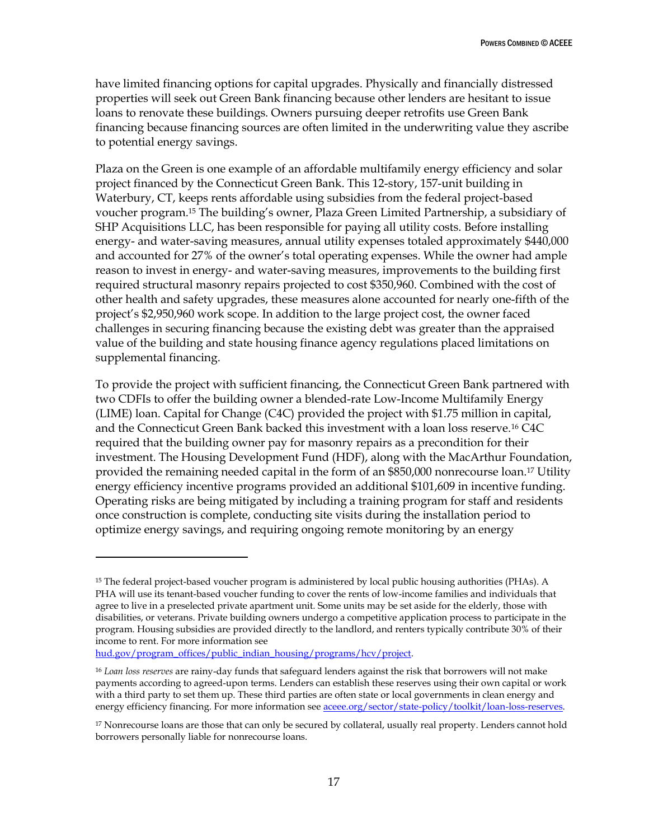have limited financing options for capital upgrades. Physically and financially distressed properties will seek out Green Bank financing because other lenders are hesitant to issue loans to renovate these buildings. Owners pursuing deeper retrofits use Green Bank financing because financing sources are often limited in the underwriting value they ascribe to potential energy savings.

Plaza on the Green is one example of an affordable multifamily energy efficiency and solar project financed by the Connecticut Green Bank. This 12-story, 157-unit building in Waterbury, CT, keeps rents affordable using subsidies from the federal project-based voucher program.<sup>15</sup> The building's owner, Plaza Green Limited Partnership, a subsidiary of SHP Acquisitions LLC, has been responsible for paying all utility costs. Before installing energy- and water-saving measures, annual utility expenses totaled approximately \$440,000 and accounted for 27% of the owner's total operating expenses. While the owner had ample reason to invest in energy- and water-saving measures, improvements to the building first required structural masonry repairs projected to cost \$350,960. Combined with the cost of other health and safety upgrades, these measures alone accounted for nearly one-fifth of the project's \$2,950,960 work scope. In addition to the large project cost, the owner faced challenges in securing financing because the existing debt was greater than the appraised value of the building and state housing finance agency regulations placed limitations on supplemental financing.

To provide the project with sufficient financing, the Connecticut Green Bank partnered with two CDFIs to offer the building owner a blended-rate Low-Income Multifamily Energy (LIME) loan. Capital for Change (C4C) provided the project with \$1.75 million in capital, and the Connecticut Green Bank backed this investment with a loan loss reserve.<sup>16</sup> C4C required that the building owner pay for masonry repairs as a precondition for their investment. The Housing Development Fund (HDF), along with the MacArthur Foundation, provided the remaining needed capital in the form of an \$850,000 nonrecourse loan.<sup>17</sup> Utility energy efficiency incentive programs provided an additional \$101,609 in incentive funding. Operating risks are being mitigated by including a training program for staff and residents once construction is complete, conducting site visits during the installation period to optimize energy savings, and requiring ongoing remote monitoring by an energy

[hud.gov/program\\_offices/public\\_indian\\_housing/programs/hcv/project.](https://www.hud.gov/program_offices/public_indian_housing/programs/hcv/project)

 $\overline{a}$ 

<sup>15</sup> The federal project-based voucher program is administered by local public housing authorities (PHAs). A PHA will use its tenant-based voucher funding to cover the rents of low-income families and individuals that agree to live in a preselected private apartment unit. Some units may be set aside for the elderly, those with disabilities, or veterans. Private building owners undergo a competitive application process to participate in the program. Housing subsidies are provided directly to the landlord, and renters typically contribute 30% of their income to rent. For more information see

<sup>16</sup> *Loan loss reserves* are rainy-day funds that safeguard lenders against the risk that borrowers will not make payments according to agreed-upon terms. Lenders can establish these reserves using their own capital or work with a third party to set them up. These third parties are often state or local governments in clean energy and energy efficiency financing. For more information see **aceee.org/sector/state-policy/toolkit/loan-loss-reserves**.

<sup>17</sup> Nonrecourse loans are those that can only be secured by collateral, usually real property. Lenders cannot hold borrowers personally liable for nonrecourse loans.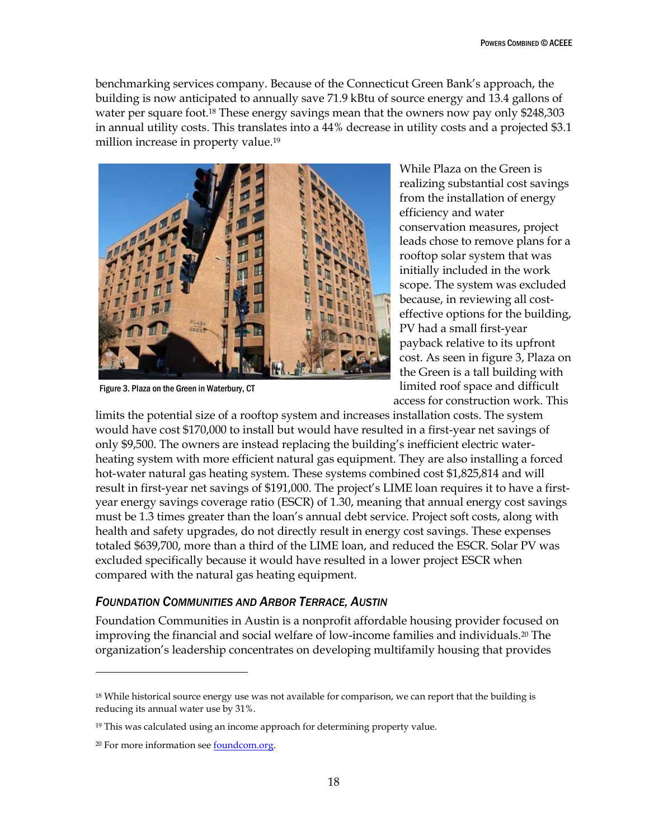benchmarking services company. Because of the Connecticut Green Bank's approach, the building is now anticipated to annually save 71.9 kBtu of source energy and 13.4 gallons of water per square foot.<sup>18</sup> These energy savings mean that the owners now pay only \$248,303 in annual utility costs. This translates into a 44% decrease in utility costs and a projected \$3.1 million increase in property value.<sup>19</sup>



Figure 3. Plaza on the Green in Waterbury, CT

While Plaza on the Green is realizing substantial cost savings from the installation of energy efficiency and water conservation measures, project leads chose to remove plans for a rooftop solar system that was initially included in the work scope. The system was excluded because, in reviewing all costeffective options for the building, PV had a small first-year payback relative to its upfront cost. As seen in figure 3, Plaza on the Green is a tall building with limited roof space and difficult access for construction work. This

limits the potential size of a rooftop system and increases installation costs. The system would have cost \$170,000 to install but would have resulted in a first-year net savings of only \$9,500. The owners are instead replacing the building's inefficient electric waterheating system with more efficient natural gas equipment. They are also installing a forced hot-water natural gas heating system. These systems combined cost \$1,825,814 and will result in first-year net savings of \$191,000. The project's LIME loan requires it to have a firstyear energy savings coverage ratio (ESCR) of 1.30, meaning that annual energy cost savings must be 1.3 times greater than the loan's annual debt service. Project soft costs, along with health and safety upgrades, do not directly result in energy cost savings. These expenses totaled \$639,700, more than a third of the LIME loan, and reduced the ESCR. Solar PV was excluded specifically because it would have resulted in a lower project ESCR when compared with the natural gas heating equipment.

#### <span id="page-24-0"></span>*FOUNDATION COMMUNITIES AND ARBOR TERRACE, AUSTIN*

Foundation Communities in Austin is a nonprofit affordable housing provider focused on improving the financial and social welfare of low-income families and individuals.<sup>20</sup> The organization's leadership concentrates on developing multifamily housing that provides

 $\overline{a}$ 

<sup>&</sup>lt;sup>18</sup> While historical source energy use was not available for comparison, we can report that the building is reducing its annual water use by 31%.

<sup>19</sup> This was calculated using an income approach for determining property value.

<sup>&</sup>lt;sup>20</sup> For more information see **foundcom.org**.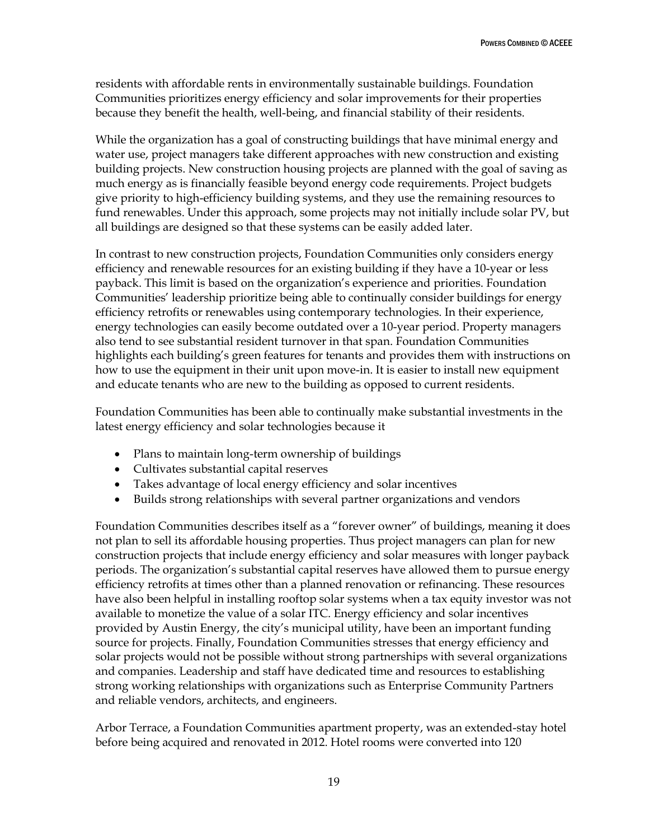residents with affordable rents in environmentally sustainable buildings. Foundation Communities prioritizes energy efficiency and solar improvements for their properties because they benefit the health, well-being, and financial stability of their residents.

While the organization has a goal of constructing buildings that have minimal energy and water use, project managers take different approaches with new construction and existing building projects. New construction housing projects are planned with the goal of saving as much energy as is financially feasible beyond energy code requirements. Project budgets give priority to high-efficiency building systems, and they use the remaining resources to fund renewables. Under this approach, some projects may not initially include solar PV, but all buildings are designed so that these systems can be easily added later.

In contrast to new construction projects, Foundation Communities only considers energy efficiency and renewable resources for an existing building if they have a 10-year or less payback. This limit is based on the organization's experience and priorities. Foundation Communities' leadership prioritize being able to continually consider buildings for energy efficiency retrofits or renewables using contemporary technologies. In their experience, energy technologies can easily become outdated over a 10-year period. Property managers also tend to see substantial resident turnover in that span. Foundation Communities highlights each building's green features for tenants and provides them with instructions on how to use the equipment in their unit upon move-in. It is easier to install new equipment and educate tenants who are new to the building as opposed to current residents.

Foundation Communities has been able to continually make substantial investments in the latest energy efficiency and solar technologies because it

- Plans to maintain long-term ownership of buildings
- Cultivates substantial capital reserves
- Takes advantage of local energy efficiency and solar incentives
- Builds strong relationships with several partner organizations and vendors

Foundation Communities describes itself as a "forever owner" of buildings, meaning it does not plan to sell its affordable housing properties. Thus project managers can plan for new construction projects that include energy efficiency and solar measures with longer payback periods. The organization's substantial capital reserves have allowed them to pursue energy efficiency retrofits at times other than a planned renovation or refinancing. These resources have also been helpful in installing rooftop solar systems when a tax equity investor was not available to monetize the value of a solar ITC. Energy efficiency and solar incentives provided by Austin Energy, the city's municipal utility, have been an important funding source for projects. Finally, Foundation Communities stresses that energy efficiency and solar projects would not be possible without strong partnerships with several organizations and companies. Leadership and staff have dedicated time and resources to establishing strong working relationships with organizations such as Enterprise Community Partners and reliable vendors, architects, and engineers.

Arbor Terrace, a Foundation Communities apartment property, was an extended-stay hotel before being acquired and renovated in 2012. Hotel rooms were converted into 120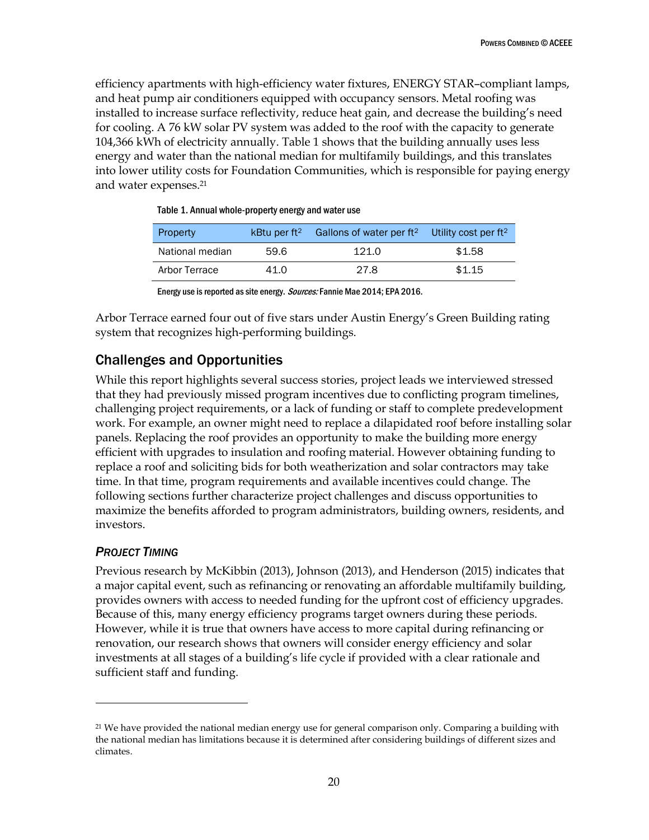efficiency apartments with high-efficiency water fixtures, ENERGY STAR–compliant lamps, and heat pump air conditioners equipped with occupancy sensors. Metal roofing was installed to increase surface reflectivity, reduce heat gain, and decrease the building's need for cooling. A 76 kW solar PV system was added to the roof with the capacity to generate 104,366 kWh of electricity annually. Table 1 shows that the building annually uses less energy and water than the national median for multifamily buildings, and this translates into lower utility costs for Foundation Communities, which is responsible for paying energy and water expenses.<sup>21</sup>

| Property        |      | kBtu per ft <sup>2</sup> Gallons of water per ft <sup>2</sup> Utility cost per ft <sup>2</sup> |        |
|-----------------|------|------------------------------------------------------------------------------------------------|--------|
| National median | 59.6 | 121.0                                                                                          | \$1.58 |
| Arbor Terrace   | 41.0 | 27.8                                                                                           | \$1.15 |

Table 1. Annual whole-property energy and water use

Energy use is reported as site energy. Sources: Fannie Mae 2014; EPA 2016.

Arbor Terrace earned four out of five stars under Austin Energy's Green Building rating system that recognizes high-performing buildings.

# <span id="page-26-0"></span>Challenges and Opportunities

While this report highlights several success stories, project leads we interviewed stressed that they had previously missed program incentives due to conflicting program timelines, challenging project requirements, or a lack of funding or staff to complete predevelopment work. For example, an owner might need to replace a dilapidated roof before installing solar panels. Replacing the roof provides an opportunity to make the building more energy efficient with upgrades to insulation and roofing material. However obtaining funding to replace a roof and soliciting bids for both weatherization and solar contractors may take time. In that time, program requirements and available incentives could change. The following sections further characterize project challenges and discuss opportunities to maximize the benefits afforded to program administrators, building owners, residents, and investors.

### <span id="page-26-1"></span>*PROJECT TIMING*

 $\ddot{\phantom{a}}$ 

Previous research by McKibbin (2013), Johnson (2013), and Henderson (2015) indicates that a major capital event, such as refinancing or renovating an affordable multifamily building, provides owners with access to needed funding for the upfront cost of efficiency upgrades. Because of this, many energy efficiency programs target owners during these periods. However, while it is true that owners have access to more capital during refinancing or renovation, our research shows that owners will consider energy efficiency and solar investments at all stages of a building's life cycle if provided with a clear rationale and sufficient staff and funding.

<sup>&</sup>lt;sup>21</sup> We have provided the national median energy use for general comparison only. Comparing a building with the national median has limitations because it is determined after considering buildings of different sizes and climates.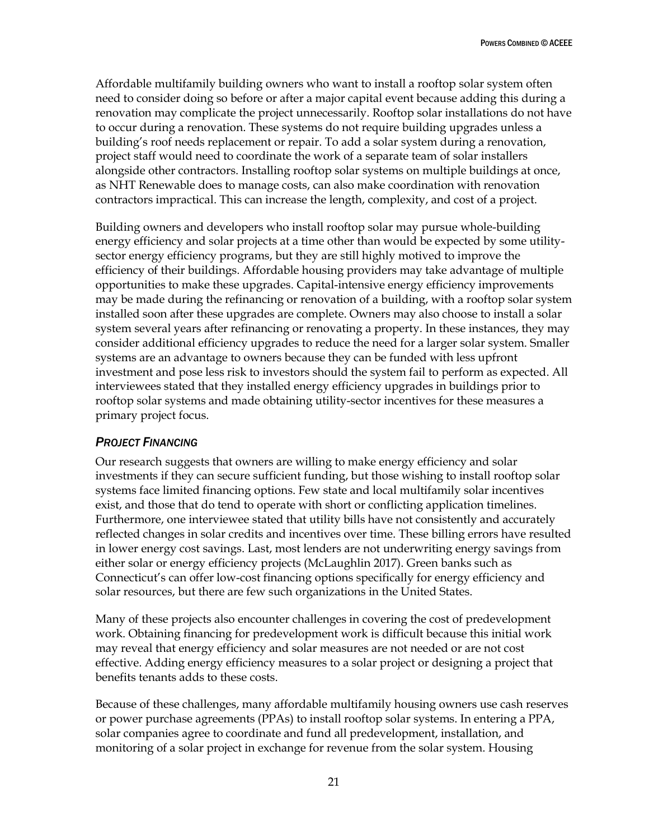Affordable multifamily building owners who want to install a rooftop solar system often need to consider doing so before or after a major capital event because adding this during a renovation may complicate the project unnecessarily. Rooftop solar installations do not have to occur during a renovation. These systems do not require building upgrades unless a building's roof needs replacement or repair. To add a solar system during a renovation, project staff would need to coordinate the work of a separate team of solar installers alongside other contractors. Installing rooftop solar systems on multiple buildings at once, as NHT Renewable does to manage costs, can also make coordination with renovation contractors impractical. This can increase the length, complexity, and cost of a project.

Building owners and developers who install rooftop solar may pursue whole-building energy efficiency and solar projects at a time other than would be expected by some utilitysector energy efficiency programs, but they are still highly motived to improve the efficiency of their buildings. Affordable housing providers may take advantage of multiple opportunities to make these upgrades. Capital-intensive energy efficiency improvements may be made during the refinancing or renovation of a building, with a rooftop solar system installed soon after these upgrades are complete. Owners may also choose to install a solar system several years after refinancing or renovating a property. In these instances, they may consider additional efficiency upgrades to reduce the need for a larger solar system. Smaller systems are an advantage to owners because they can be funded with less upfront investment and pose less risk to investors should the system fail to perform as expected. All interviewees stated that they installed energy efficiency upgrades in buildings prior to rooftop solar systems and made obtaining utility-sector incentives for these measures a primary project focus.

#### <span id="page-27-0"></span>*PROJECT FINANCING*

Our research suggests that owners are willing to make energy efficiency and solar investments if they can secure sufficient funding, but those wishing to install rooftop solar systems face limited financing options. Few state and local multifamily solar incentives exist, and those that do tend to operate with short or conflicting application timelines. Furthermore, one interviewee stated that utility bills have not consistently and accurately reflected changes in solar credits and incentives over time. These billing errors have resulted in lower energy cost savings. Last, most lenders are not underwriting energy savings from either solar or energy efficiency projects (McLaughlin 2017). Green banks such as Connecticut's can offer low-cost financing options specifically for energy efficiency and solar resources, but there are few such organizations in the United States.

Many of these projects also encounter challenges in covering the cost of predevelopment work. Obtaining financing for predevelopment work is difficult because this initial work may reveal that energy efficiency and solar measures are not needed or are not cost effective. Adding energy efficiency measures to a solar project or designing a project that benefits tenants adds to these costs.

Because of these challenges, many affordable multifamily housing owners use cash reserves or power purchase agreements (PPAs) to install rooftop solar systems. In entering a PPA, solar companies agree to coordinate and fund all predevelopment, installation, and monitoring of a solar project in exchange for revenue from the solar system. Housing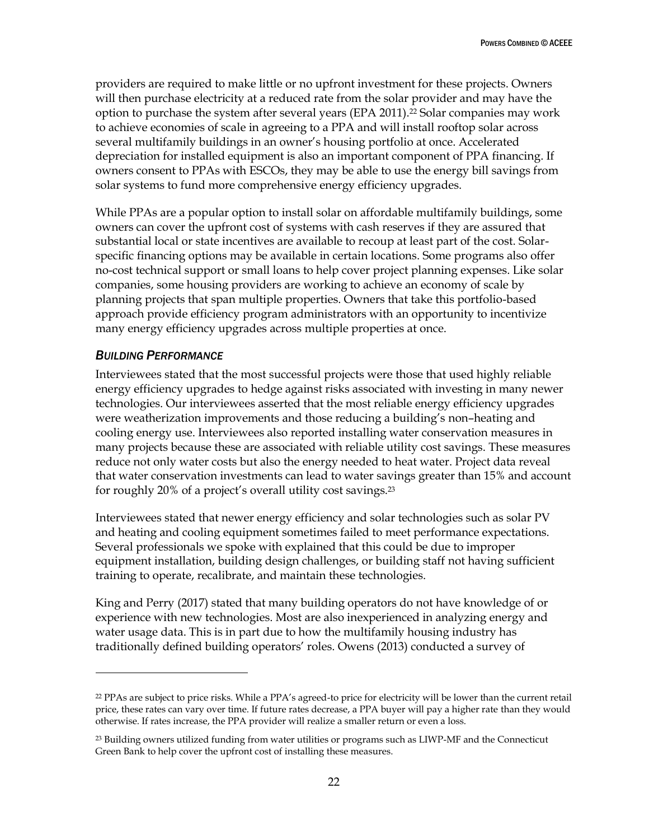providers are required to make little or no upfront investment for these projects. Owners will then purchase electricity at a reduced rate from the solar provider and may have the option to purchase the system after several years (EPA 2011).<sup>22</sup> Solar companies may work to achieve economies of scale in agreeing to a PPA and will install rooftop solar across several multifamily buildings in an owner's housing portfolio at once. Accelerated depreciation for installed equipment is also an important component of PPA financing. If owners consent to PPAs with ESCOs, they may be able to use the energy bill savings from solar systems to fund more comprehensive energy efficiency upgrades.

While PPAs are a popular option to install solar on affordable multifamily buildings, some owners can cover the upfront cost of systems with cash reserves if they are assured that substantial local or state incentives are available to recoup at least part of the cost. Solarspecific financing options may be available in certain locations. Some programs also offer no-cost technical support or small loans to help cover project planning expenses. Like solar companies, some housing providers are working to achieve an economy of scale by planning projects that span multiple properties. Owners that take this portfolio-based approach provide efficiency program administrators with an opportunity to incentivize many energy efficiency upgrades across multiple properties at once.

### <span id="page-28-0"></span>*BUILDING PERFORMANCE*

 $\overline{a}$ 

Interviewees stated that the most successful projects were those that used highly reliable energy efficiency upgrades to hedge against risks associated with investing in many newer technologies. Our interviewees asserted that the most reliable energy efficiency upgrades were weatherization improvements and those reducing a building's non–heating and cooling energy use. Interviewees also reported installing water conservation measures in many projects because these are associated with reliable utility cost savings. These measures reduce not only water costs but also the energy needed to heat water. Project data reveal that water conservation investments can lead to water savings greater than 15% and account for roughly 20% of a project's overall utility cost savings.<sup>23</sup>

Interviewees stated that newer energy efficiency and solar technologies such as solar PV and heating and cooling equipment sometimes failed to meet performance expectations. Several professionals we spoke with explained that this could be due to improper equipment installation, building design challenges, or building staff not having sufficient training to operate, recalibrate, and maintain these technologies.

King and Perry (2017) stated that many building operators do not have knowledge of or experience with new technologies. Most are also inexperienced in analyzing energy and water usage data. This is in part due to how the multifamily housing industry has traditionally defined building operators' roles. Owens (2013) conducted a survey of

<sup>22</sup> PPAs are subject to price risks. While a PPA's agreed-to price for electricity will be lower than the current retail price, these rates can vary over time. If future rates decrease, a PPA buyer will pay a higher rate than they would otherwise. If rates increase, the PPA provider will realize a smaller return or even a loss.

<sup>&</sup>lt;sup>23</sup> Building owners utilized funding from water utilities or programs such as LIWP-MF and the Connecticut Green Bank to help cover the upfront cost of installing these measures.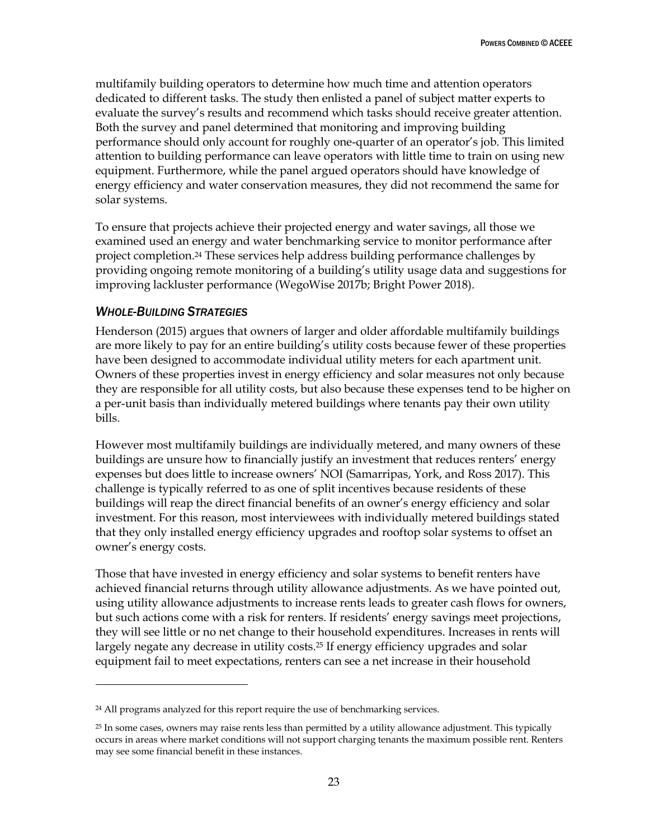multifamily building operators to determine how much time and attention operators dedicated to different tasks. The study then enlisted a panel of subject matter experts to evaluate the survey's results and recommend which tasks should receive greater attention. Both the survey and panel determined that monitoring and improving building performance should only account for roughly one-quarter of an operator's job. This limited attention to building performance can leave operators with little time to train on using new equipment. Furthermore, while the panel argued operators should have knowledge of energy efficiency and water conservation measures, they did not recommend the same for solar systems.

To ensure that projects achieve their projected energy and water savings, all those we examined used an energy and water benchmarking service to monitor performance after project completion.<sup>24</sup> These services help address building performance challenges by providing ongoing remote monitoring of a building's utility usage data and suggestions for improving lackluster performance (WegoWise 2017b; Bright Power 2018).

#### <span id="page-29-0"></span>*WHOLE-BUILDING STRATEGIES*

 $\overline{a}$ 

Henderson (2015) argues that owners of larger and older affordable multifamily buildings are more likely to pay for an entire building's utility costs because fewer of these properties have been designed to accommodate individual utility meters for each apartment unit. Owners of these properties invest in energy efficiency and solar measures not only because they are responsible for all utility costs, but also because these expenses tend to be higher on a per-unit basis than individually metered buildings where tenants pay their own utility bills.

However most multifamily buildings are individually metered, and many owners of these buildings are unsure how to financially justify an investment that reduces renters' energy expenses but does little to increase owners' NOI (Samarripas, York, and Ross 2017). This challenge is typically referred to as one of split incentives because residents of these buildings will reap the direct financial benefits of an owner's energy efficiency and solar investment. For this reason, most interviewees with individually metered buildings stated that they only installed energy efficiency upgrades and rooftop solar systems to offset an owner's energy costs.

Those that have invested in energy efficiency and solar systems to benefit renters have achieved financial returns through utility allowance adjustments. As we have pointed out, using utility allowance adjustments to increase rents leads to greater cash flows for owners, but such actions come with a risk for renters. If residents' energy savings meet projections, they will see little or no net change to their household expenditures. Increases in rents will largely negate any decrease in utility costs.<sup>25</sup> If energy efficiency upgrades and solar equipment fail to meet expectations, renters can see a net increase in their household

<sup>24</sup> All programs analyzed for this report require the use of benchmarking services.

<sup>25</sup> In some cases, owners may raise rents less than permitted by a utility allowance adjustment. This typically occurs in areas where market conditions will not support charging tenants the maximum possible rent. Renters may see some financial benefit in these instances.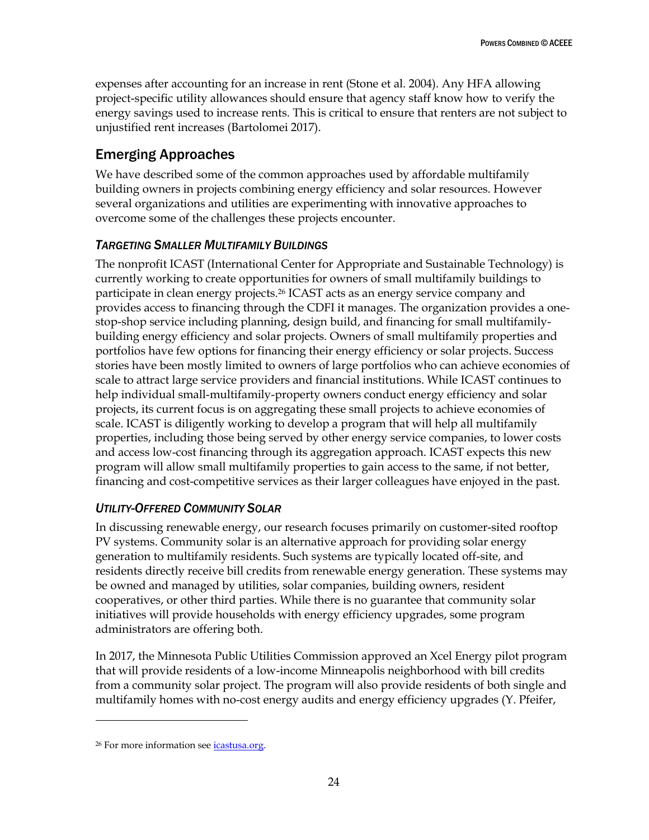expenses after accounting for an increase in rent (Stone et al. 2004). Any HFA allowing project-specific utility allowances should ensure that agency staff know how to verify the energy savings used to increase rents. This is critical to ensure that renters are not subject to unjustified rent increases (Bartolomei 2017).

# <span id="page-30-0"></span>Emerging Approaches

We have described some of the common approaches used by affordable multifamily building owners in projects combining energy efficiency and solar resources. However several organizations and utilities are experimenting with innovative approaches to overcome some of the challenges these projects encounter.

### <span id="page-30-1"></span>*TARGETING SMALLER MULTIFAMILY BUILDINGS*

The nonprofit ICAST (International Center for Appropriate and Sustainable Technology) is currently working to create opportunities for owners of small multifamily buildings to participate in clean energy projects.<sup>26</sup> ICAST acts as an energy service company and provides access to financing through the CDFI it manages. The organization provides a onestop-shop service including planning, design build, and financing for small multifamilybuilding energy efficiency and solar projects. Owners of small multifamily properties and portfolios have few options for financing their energy efficiency or solar projects. Success stories have been mostly limited to owners of large portfolios who can achieve economies of scale to attract large service providers and financial institutions. While ICAST continues to help individual small-multifamily-property owners conduct energy efficiency and solar projects, its current focus is on aggregating these small projects to achieve economies of scale. ICAST is diligently working to develop a program that will help all multifamily properties, including those being served by other energy service companies, to lower costs and access low-cost financing through its aggregation approach. ICAST expects this new program will allow small multifamily properties to gain access to the same, if not better, financing and cost-competitive services as their larger colleagues have enjoyed in the past.

### <span id="page-30-2"></span>*UTILITY-OFFERED COMMUNITY SOLAR*

In discussing renewable energy, our research focuses primarily on customer-sited rooftop PV systems. Community solar is an alternative approach for providing solar energy generation to multifamily residents. Such systems are typically located off-site, and residents directly receive bill credits from renewable energy generation. These systems may be owned and managed by utilities, solar companies, building owners, resident cooperatives, or other third parties. While there is no guarantee that community solar initiatives will provide households with energy efficiency upgrades, some program administrators are offering both.

In 2017, the Minnesota Public Utilities Commission approved an Xcel Energy pilot program that will provide residents of a low-income Minneapolis neighborhood with bill credits from a community solar project. The program will also provide residents of both single and multifamily homes with no-cost energy audits and energy efficiency upgrades (Y. Pfeifer,

 $\ddot{\phantom{a}}$ 

<sup>&</sup>lt;sup>26</sup> For more information see *icastusa.org*.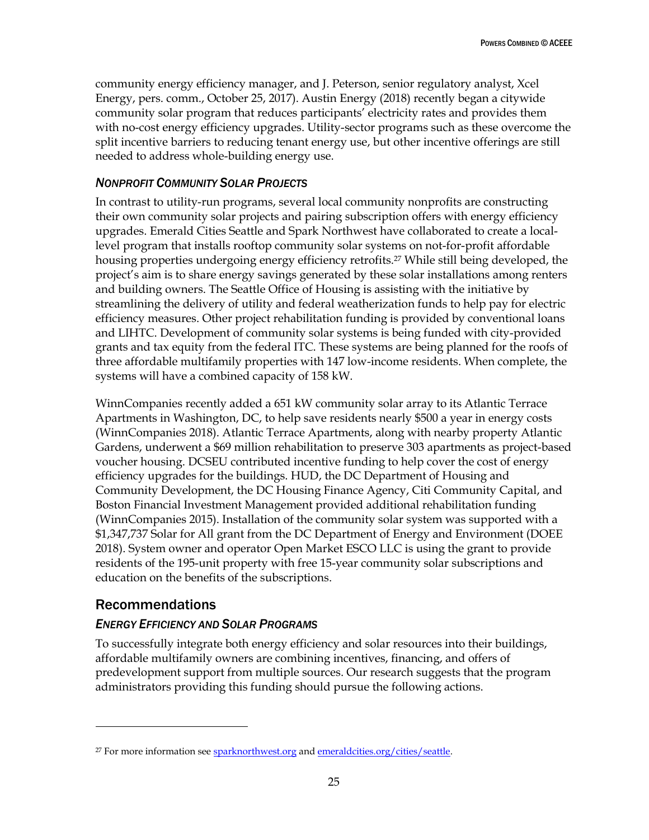community energy efficiency manager, and J. Peterson, senior regulatory analyst, Xcel Energy, pers. comm., October 25, 2017). Austin Energy (2018) recently began a citywide community solar program that reduces participants' electricity rates and provides them with no-cost energy efficiency upgrades. Utility-sector programs such as these overcome the split incentive barriers to reducing tenant energy use, but other incentive offerings are still needed to address whole-building energy use.

### <span id="page-31-0"></span>*NONPROFIT COMMUNITY SOLAR PROJECTS*

In contrast to utility-run programs, several local community nonprofits are constructing their own community solar projects and pairing subscription offers with energy efficiency upgrades. Emerald Cities Seattle and Spark Northwest have collaborated to create a locallevel program that installs rooftop community solar systems on not-for-profit affordable housing properties undergoing energy efficiency retrofits.<sup>27</sup> While still being developed, the project's aim is to share energy savings generated by these solar installations among renters and building owners. The Seattle Office of Housing is assisting with the initiative by streamlining the delivery of utility and federal weatherization funds to help pay for electric efficiency measures. Other project rehabilitation funding is provided by conventional loans and LIHTC. Development of community solar systems is being funded with city-provided grants and tax equity from the federal ITC. These systems are being planned for the roofs of three affordable multifamily properties with 147 low-income residents. When complete, the systems will have a combined capacity of 158 kW.

WinnCompanies recently added a 651 kW community solar array to its Atlantic Terrace Apartments in Washington, DC, to help save residents nearly \$500 a year in energy costs (WinnCompanies 2018). Atlantic Terrace Apartments, along with nearby property Atlantic Gardens, underwent a \$69 million rehabilitation to preserve 303 apartments as project-based voucher housing. DCSEU contributed incentive funding to help cover the cost of energy efficiency upgrades for the buildings. HUD, the DC Department of Housing and Community Development, the DC Housing Finance Agency, Citi Community Capital, and Boston Financial Investment Management provided additional rehabilitation funding (WinnCompanies 2015). Installation of the community solar system was supported with a \$1,347,737 Solar for All grant from the DC Department of Energy and Environment (DOEE 2018). System owner and operator Open Market ESCO LLC is using the grant to provide residents of the 195-unit property with free 15-year community solar subscriptions and education on the benefits of the subscriptions.

### <span id="page-31-1"></span>Recommendations

 $\ddot{\phantom{a}}$ 

### <span id="page-31-2"></span>*ENERGY EFFICIENCY AND SOLAR PROGRAMS*

To successfully integrate both energy efficiency and solar resources into their buildings, affordable multifamily owners are combining incentives, financing, and offers of predevelopment support from multiple sources. Our research suggests that the program administrators providing this funding should pursue the following actions.

<sup>&</sup>lt;sup>27</sup> For more information se[e sparknorthwest.org](https://sparknorthwest.org/) an[d emeraldcities.org/cities/seattle.](http://emeraldcities.org/cities/seattle)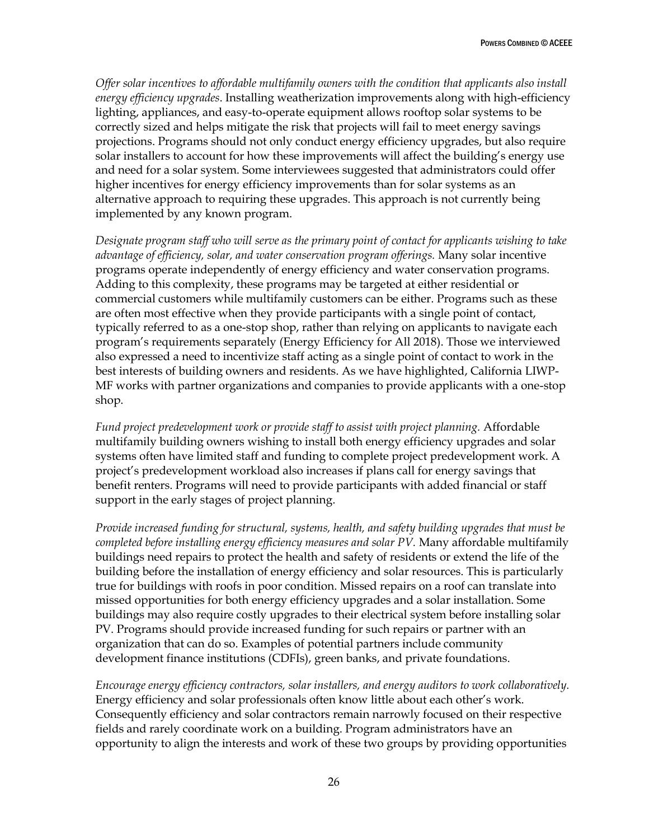*Offer solar incentives to affordable multifamily owners with the condition that applicants also install energy efficiency upgrades*. Installing weatherization improvements along with high-efficiency lighting, appliances, and easy-to-operate equipment allows rooftop solar systems to be correctly sized and helps mitigate the risk that projects will fail to meet energy savings projections. Programs should not only conduct energy efficiency upgrades, but also require solar installers to account for how these improvements will affect the building's energy use and need for a solar system. Some interviewees suggested that administrators could offer higher incentives for energy efficiency improvements than for solar systems as an alternative approach to requiring these upgrades. This approach is not currently being implemented by any known program.

*Designate program staff who will serve as the primary point of contact for applicants wishing to take advantage of efficiency, solar, and water conservation program offerings.* Many solar incentive programs operate independently of energy efficiency and water conservation programs. Adding to this complexity, these programs may be targeted at either residential or commercial customers while multifamily customers can be either. Programs such as these are often most effective when they provide participants with a single point of contact, typically referred to as a one-stop shop, rather than relying on applicants to navigate each program's requirements separately (Energy Efficiency for All 2018). Those we interviewed also expressed a need to incentivize staff acting as a single point of contact to work in the best interests of building owners and residents. As we have highlighted, California LIWP-MF works with partner organizations and companies to provide applicants with a one-stop shop.

*Fund project predevelopment work or provide staff to assist with project planning.* Affordable multifamily building owners wishing to install both energy efficiency upgrades and solar systems often have limited staff and funding to complete project predevelopment work. A project's predevelopment workload also increases if plans call for energy savings that benefit renters. Programs will need to provide participants with added financial or staff support in the early stages of project planning.

*Provide increased funding for structural, systems, health, and safety building upgrades that must be completed before installing energy efficiency measures and solar PV.* Many affordable multifamily buildings need repairs to protect the health and safety of residents or extend the life of the building before the installation of energy efficiency and solar resources. This is particularly true for buildings with roofs in poor condition. Missed repairs on a roof can translate into missed opportunities for both energy efficiency upgrades and a solar installation. Some buildings may also require costly upgrades to their electrical system before installing solar PV. Programs should provide increased funding for such repairs or partner with an organization that can do so. Examples of potential partners include community development finance institutions (CDFIs), green banks, and private foundations.

*Encourage energy efficiency contractors, solar installers, and energy auditors to work collaboratively.* Energy efficiency and solar professionals often know little about each other's work. Consequently efficiency and solar contractors remain narrowly focused on their respective fields and rarely coordinate work on a building. Program administrators have an opportunity to align the interests and work of these two groups by providing opportunities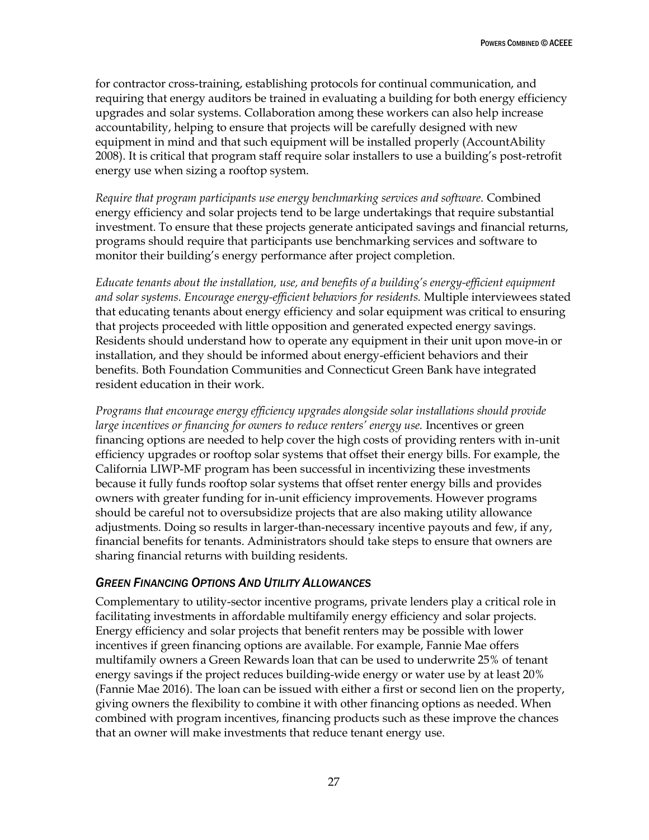for contractor cross-training, establishing protocols for continual communication, and requiring that energy auditors be trained in evaluating a building for both energy efficiency upgrades and solar systems. Collaboration among these workers can also help increase accountability, helping to ensure that projects will be carefully designed with new equipment in mind and that such equipment will be installed properly (AccountAbility 2008). It is critical that program staff require solar installers to use a building's post-retrofit energy use when sizing a rooftop system.

*Require that program participants use energy benchmarking services and software.* Combined energy efficiency and solar projects tend to be large undertakings that require substantial investment. To ensure that these projects generate anticipated savings and financial returns, programs should require that participants use benchmarking services and software to monitor their building's energy performance after project completion.

*Educate tenants about the installation, use, and benefits of a building's energy-efficient equipment and solar systems. Encourage energy-efficient behaviors for residents.* Multiple interviewees stated that educating tenants about energy efficiency and solar equipment was critical to ensuring that projects proceeded with little opposition and generated expected energy savings. Residents should understand how to operate any equipment in their unit upon move-in or installation, and they should be informed about energy-efficient behaviors and their benefits. Both Foundation Communities and Connecticut Green Bank have integrated resident education in their work.

*Programs that encourage energy efficiency upgrades alongside solar installations should provide large incentives or financing for owners to reduce renters' energy use.* Incentives or green financing options are needed to help cover the high costs of providing renters with in-unit efficiency upgrades or rooftop solar systems that offset their energy bills. For example, the California LIWP-MF program has been successful in incentivizing these investments because it fully funds rooftop solar systems that offset renter energy bills and provides owners with greater funding for in-unit efficiency improvements. However programs should be careful not to oversubsidize projects that are also making utility allowance adjustments. Doing so results in larger-than-necessary incentive payouts and few, if any, financial benefits for tenants. Administrators should take steps to ensure that owners are sharing financial returns with building residents.

#### <span id="page-33-0"></span>*GREEN FINANCING OPTIONS AND UTILITY ALLOWANCES*

Complementary to utility-sector incentive programs, private lenders play a critical role in facilitating investments in affordable multifamily energy efficiency and solar projects. Energy efficiency and solar projects that benefit renters may be possible with lower incentives if green financing options are available. For example, Fannie Mae offers multifamily owners a Green Rewards loan that can be used to underwrite 25% of tenant energy savings if the project reduces building-wide energy or water use by at least 20% (Fannie Mae 2016). The loan can be issued with either a first or second lien on the property, giving owners the flexibility to combine it with other financing options as needed. When combined with program incentives, financing products such as these improve the chances that an owner will make investments that reduce tenant energy use.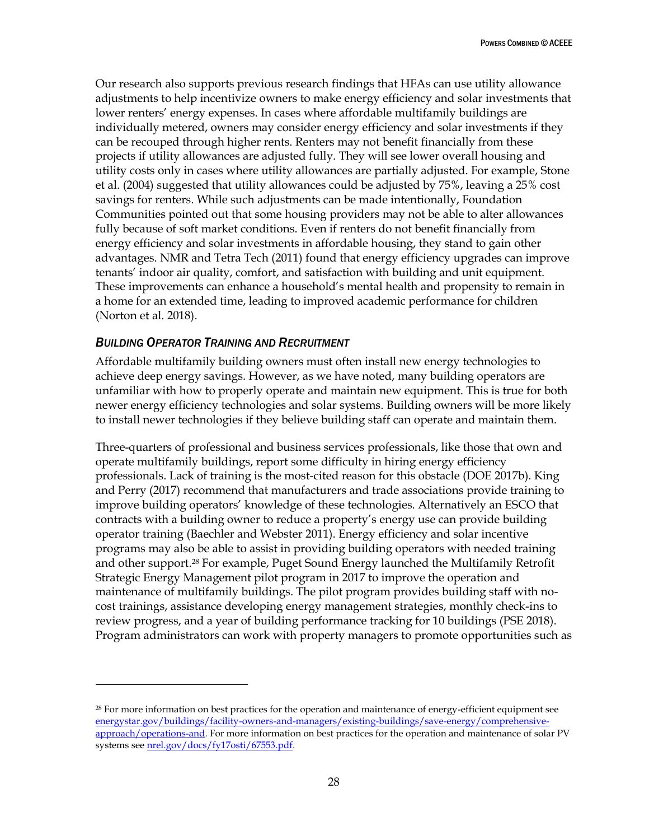Our research also supports previous research findings that HFAs can use utility allowance adjustments to help incentivize owners to make energy efficiency and solar investments that lower renters' energy expenses. In cases where affordable multifamily buildings are individually metered, owners may consider energy efficiency and solar investments if they can be recouped through higher rents. Renters may not benefit financially from these projects if utility allowances are adjusted fully. They will see lower overall housing and utility costs only in cases where utility allowances are partially adjusted. For example, Stone et al. (2004) suggested that utility allowances could be adjusted by 75%, leaving a 25% cost savings for renters. While such adjustments can be made intentionally, Foundation Communities pointed out that some housing providers may not be able to alter allowances fully because of soft market conditions. Even if renters do not benefit financially from energy efficiency and solar investments in affordable housing, they stand to gain other advantages. NMR and Tetra Tech (2011) found that energy efficiency upgrades can improve tenants' indoor air quality, comfort, and satisfaction with building and unit equipment. These improvements can enhance a household's mental health and propensity to remain in a home for an extended time, leading to improved academic performance for children (Norton et al. 2018).

#### <span id="page-34-0"></span>*BUILDING OPERATOR TRAINING AND RECRUITMENT*

 $\overline{a}$ 

Affordable multifamily building owners must often install new energy technologies to achieve deep energy savings. However, as we have noted, many building operators are unfamiliar with how to properly operate and maintain new equipment. This is true for both newer energy efficiency technologies and solar systems. Building owners will be more likely to install newer technologies if they believe building staff can operate and maintain them.

Three-quarters of professional and business services professionals, like those that own and operate multifamily buildings, report some difficulty in hiring energy efficiency professionals. Lack of training is the most-cited reason for this obstacle (DOE 2017b). King and Perry (2017) recommend that manufacturers and trade associations provide training to improve building operators' knowledge of these technologies. Alternatively an ESCO that contracts with a building owner to reduce a property's energy use can provide building operator training (Baechler and Webster 2011). Energy efficiency and solar incentive programs may also be able to assist in providing building operators with needed training and other support.<sup>28</sup> For example, Puget Sound Energy launched the Multifamily Retrofit Strategic Energy Management pilot program in 2017 to improve the operation and maintenance of multifamily buildings. The pilot program provides building staff with nocost trainings, assistance developing energy management strategies, monthly check-ins to review progress, and a year of building performance tracking for 10 buildings (PSE 2018). Program administrators can work with property managers to promote opportunities such as

<sup>28</sup> For more information on best practices for the operation and maintenance of energy-efficient equipment see [energystar.gov/buildings/facility-owners-and-managers/existing-buildings/save-energy/comprehensive](https://www.energystar.gov/buildings/facility-owners-and-managers/existing-buildings/save-energy/comprehensive-approach/operations-and)[approach/operations-and.](https://www.energystar.gov/buildings/facility-owners-and-managers/existing-buildings/save-energy/comprehensive-approach/operations-and) For more information on best practices for the operation and maintenance of solar PV systems se[e nrel.gov/docs/fy17osti/67553.pdf.](https://www.nrel.gov/docs/fy17osti/67553.pdf)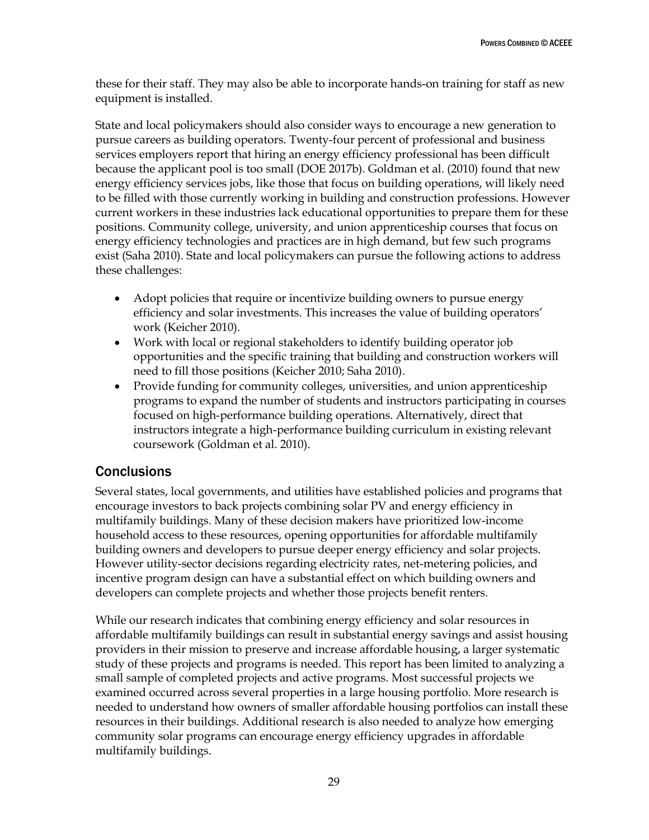these for their staff. They may also be able to incorporate hands-on training for staff as new equipment is installed.

State and local policymakers should also consider ways to encourage a new generation to pursue careers as building operators. Twenty-four percent of professional and business services employers report that hiring an energy efficiency professional has been difficult because the applicant pool is too small (DOE 2017b). Goldman et al. (2010) found that new energy efficiency services jobs, like those that focus on building operations, will likely need to be filled with those currently working in building and construction professions. However current workers in these industries lack educational opportunities to prepare them for these positions. Community college, university, and union apprenticeship courses that focus on energy efficiency technologies and practices are in high demand, but few such programs exist (Saha 2010). State and local policymakers can pursue the following actions to address these challenges:

- Adopt policies that require or incentivize building owners to pursue energy efficiency and solar investments. This increases the value of building operators' work (Keicher 2010).
- Work with local or regional stakeholders to identify building operator job opportunities and the specific training that building and construction workers will need to fill those positions (Keicher 2010; Saha 2010).
- Provide funding for community colleges, universities, and union apprenticeship programs to expand the number of students and instructors participating in courses focused on high-performance building operations. Alternatively, direct that instructors integrate a high-performance building curriculum in existing relevant coursework (Goldman et al. 2010).

# <span id="page-35-0"></span>**Conclusions**

Several states, local governments, and utilities have established policies and programs that encourage investors to back projects combining solar PV and energy efficiency in multifamily buildings. Many of these decision makers have prioritized low-income household access to these resources, opening opportunities for affordable multifamily building owners and developers to pursue deeper energy efficiency and solar projects. However utility-sector decisions regarding electricity rates, net-metering policies, and incentive program design can have a substantial effect on which building owners and developers can complete projects and whether those projects benefit renters.

While our research indicates that combining energy efficiency and solar resources in affordable multifamily buildings can result in substantial energy savings and assist housing providers in their mission to preserve and increase affordable housing, a larger systematic study of these projects and programs is needed. This report has been limited to analyzing a small sample of completed projects and active programs. Most successful projects we examined occurred across several properties in a large housing portfolio. More research is needed to understand how owners of smaller affordable housing portfolios can install these resources in their buildings. Additional research is also needed to analyze how emerging community solar programs can encourage energy efficiency upgrades in affordable multifamily buildings.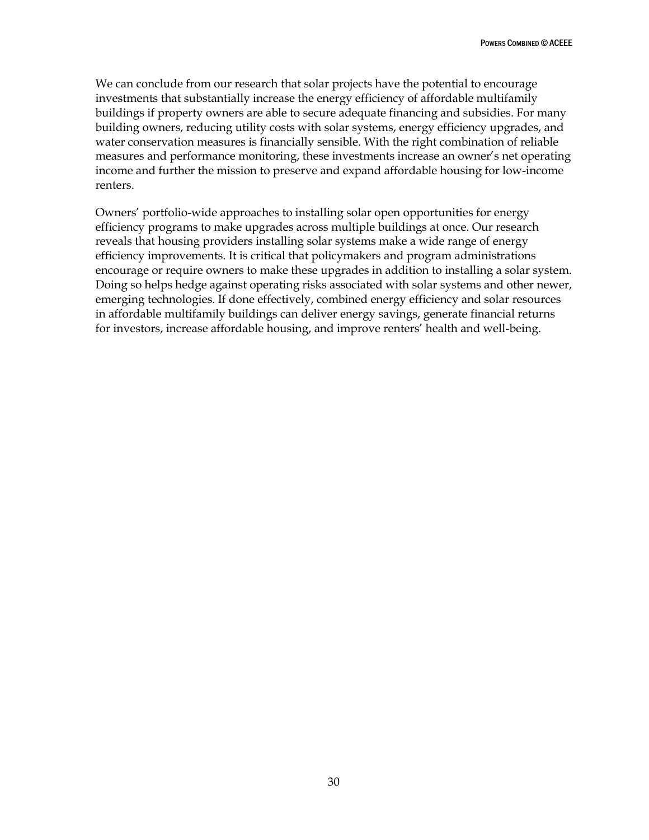We can conclude from our research that solar projects have the potential to encourage investments that substantially increase the energy efficiency of affordable multifamily buildings if property owners are able to secure adequate financing and subsidies. For many building owners, reducing utility costs with solar systems, energy efficiency upgrades, and water conservation measures is financially sensible. With the right combination of reliable measures and performance monitoring, these investments increase an owner's net operating income and further the mission to preserve and expand affordable housing for low-income renters.

Owners' portfolio-wide approaches to installing solar open opportunities for energy efficiency programs to make upgrades across multiple buildings at once. Our research reveals that housing providers installing solar systems make a wide range of energy efficiency improvements. It is critical that policymakers and program administrations encourage or require owners to make these upgrades in addition to installing a solar system. Doing so helps hedge against operating risks associated with solar systems and other newer, emerging technologies. If done effectively, combined energy efficiency and solar resources in affordable multifamily buildings can deliver energy savings, generate financial returns for investors, increase affordable housing, and improve renters' health and well-being.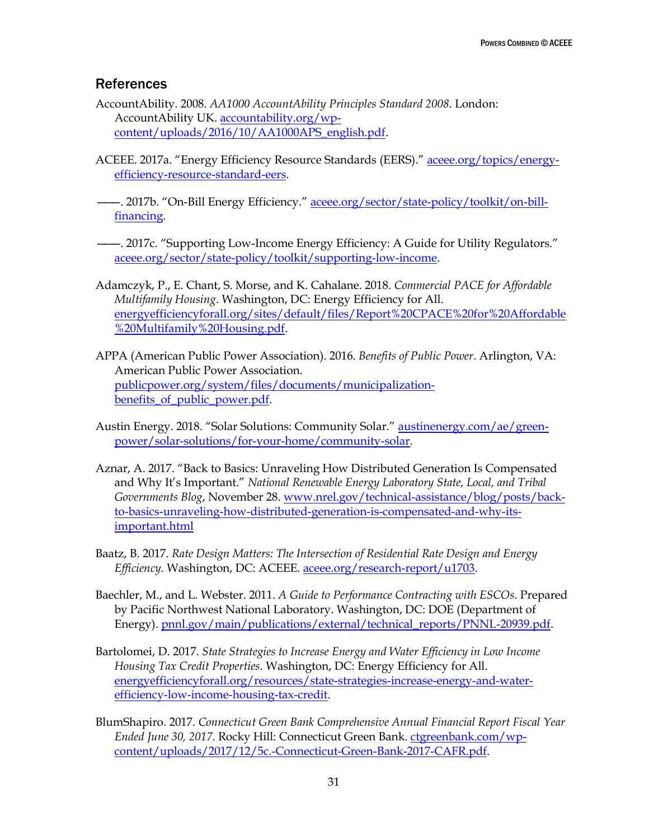### <span id="page-37-0"></span>**References**

- AccountAbility. 2008. *AA1000 AccountAbility Principles Standard 2008*. London: AccountAbility UK[. accountability.org/wp](https://www.accountability.org/wp-content/uploads/2016/10/AA1000APS_english.pdf)[content/uploads/2016/10/AA1000APS\\_english.pdf.](https://www.accountability.org/wp-content/uploads/2016/10/AA1000APS_english.pdf)
- ACEEE. 2017a. "Energy Efficiency Resource Standards (EERS)." [aceee.org/topics/energy](http://aceee.org/topics/energy-efficiency-resource-standard-eers)[efficiency-resource-standard-eers.](http://aceee.org/topics/energy-efficiency-resource-standard-eers)
- 2017b. "On-Bill Energy Efficiency." [aceee.org/sector/state-policy/toolkit/on-bill](https://aceee.org/sector/state-policy/toolkit/on-bill-financing)[financing.](https://aceee.org/sector/state-policy/toolkit/on-bill-financing)
- ———. 2017c. "Supporting Low-Income Energy Efficiency: A Guide for Utility Regulators." [aceee.org/sector/state-policy/toolkit/supporting-low-income.](http://aceee.org/sector/state-policy/toolkit/supporting-low-income)
- Adamczyk, P., E. Chant, S. Morse, and K. Cahalane. 2018. *Commercial PACE for Affordable Multifamily Housing*. Washington, DC: Energy Efficiency for All. [energyefficiencyforall.org/sites/default/files/Report%20CPACE%20for%20Affordable](http://www.energyefficiencyforall.org/sites/default/files/Report%20CPACE%20for%20Affordable%20Multifamily%20Housing.pdf) [%20Multifamily%20Housing.pdf.](http://www.energyefficiencyforall.org/sites/default/files/Report%20CPACE%20for%20Affordable%20Multifamily%20Housing.pdf)
- APPA (American Public Power Association). 2016. *Benefits of Public Power*. Arlington, VA: American Public Power Association. [publicpower.org/system/files/documents/municipalization](https://www.publicpower.org/system/files/documents/municipalization-benefits_of_public_power.pdf)benefits of public power.pdf.
- Austin Energy. 2018. "Solar Solutions: Community Solar." [austinenergy.com/ae/green](https://austinenergy.com/ae/green-power/solar-solutions/for-your-home/community-solar)[power/solar-solutions/for-your-home/community-solar.](https://austinenergy.com/ae/green-power/solar-solutions/for-your-home/community-solar)
- Aznar, A. 2017. "Back to Basics: Unraveling How Distributed Generation Is Compensated and Why It's Important." *National Renewable Energy Laboratory State, Local, and Tribal Governments Blog*, November 28. [www.nrel.gov/technical-assistance/blog/posts/back](https://www.nrel.gov/technical-assistance/blog/posts/back-to-basics-unraveling-how-distributed-generation-is-compensated-and-why-its-important.html)[to-basics-unraveling-how-distributed-generation-is-compensated-and-why-its](https://www.nrel.gov/technical-assistance/blog/posts/back-to-basics-unraveling-how-distributed-generation-is-compensated-and-why-its-important.html)[important.html](https://www.nrel.gov/technical-assistance/blog/posts/back-to-basics-unraveling-how-distributed-generation-is-compensated-and-why-its-important.html)
- Baatz, B. 2017. *Rate Design Matters: The Intersection of Residential Rate Design and Energy Efficiency.* Washington, DC: ACEEE. [aceee.org/research-report/u1703.](http://aceee.org/research-report/u1703)
- Baechler, M., and L. Webster. 2011. *A Guide to Performance Contracting with ESCOs*. Prepared by Pacific Northwest National Laboratory. Washington, DC: DOE (Department of Energy). [pnnl.gov/main/publications/external/technical\\_reports/PNNL-20939.pdf.](https://www.pnnl.gov/main/publications/external/technical_reports/PNNL-20939.pdf)
- Bartolomei, D. 2017. *State Strategies to Increase Energy and Water Efficiency in Low Income Housing Tax Credit Properties*. Washington, DC: Energy Efficiency for All. [energyefficiencyforall.org/resources/state-strategies-increase-energy-and-water](http://energyefficiencyforall.org/resources/state-strategies-increase-energy-and-water-efficiency-low-income-housing-tax-credit)[efficiency-low-income-housing-tax-credit.](http://energyefficiencyforall.org/resources/state-strategies-increase-energy-and-water-efficiency-low-income-housing-tax-credit)
- BlumShapiro. 2017. *Connecticut Green Bank Comprehensive Annual Financial Report Fiscal Year Ended June 30, 2017*. Rocky Hill: Connecticut Green Bank. [ctgreenbank.com/wp](https://ctgreenbank.com/wp-content/uploads/2017/12/5c.-Connecticut-Green-Bank-2017-CAFR.pdf)[content/uploads/2017/12/5c.-Connecticut-Green-Bank-2017-CAFR.pdf.](https://ctgreenbank.com/wp-content/uploads/2017/12/5c.-Connecticut-Green-Bank-2017-CAFR.pdf)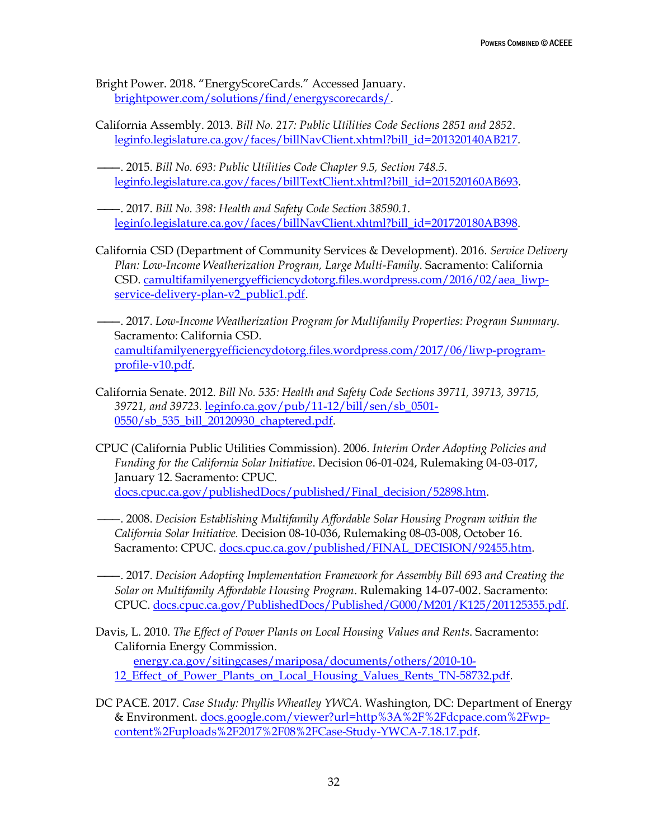Bright Power. 2018. "EnergyScoreCards." Accessed January. [brightpower.com/solutions/find/energyscorecards/.](http://www.brightpower.com/solutions/find/energyscorecards/)

- California Assembly. 2013. *Bill No. 217: Public Utilities Code Sections 2851 and 2852*. [leginfo.legislature.ca.gov/faces/billNavClient.xhtml?bill\\_id=201320140AB217.](http://leginfo.legislature.ca.gov/faces/billNavClient.xhtml?bill_id=201320140AB217)
- ———. 2015. *Bill No. 693: Public Utilities Code Chapter 9.5, Section 748.5*. [leginfo.legislature.ca.gov/faces/billTextClient.xhtml?bill\\_id=201520160AB693.](https://leginfo.legislature.ca.gov/faces/billTextClient.xhtml?bill_id=201520160AB693)
- ———. 2017. *Bill No. 398: Health and Safety Code Section 38590.1*. [leginfo.legislature.ca.gov/faces/billNavClient.xhtml?bill\\_id=201720180AB398.](https://leginfo.legislature.ca.gov/faces/billNavClient.xhtml?bill_id=201720180AB398)
- California CSD (Department of Community Services & Development). 2016. *Service Delivery Plan: Low-Income Weatherization Program, Large Multi-Family*. Sacramento: California CSD. [camultifamilyenergyefficiencydotorg.files.wordpress.com/2016/02/aea\\_liwp](https://camultifamilyenergyefficiencydotorg.files.wordpress.com/2016/02/aea_liwp-service-delivery-plan-v2_public1.pdf)[service-delivery-plan-v2\\_public1.pdf.](https://camultifamilyenergyefficiencydotorg.files.wordpress.com/2016/02/aea_liwp-service-delivery-plan-v2_public1.pdf)
- ———. 2017. *Low-Income Weatherization Program for Multifamily Properties: Program Summary*. Sacramento: California CSD. [camultifamilyenergyefficiencydotorg.files.wordpress.com/2017/06/liwp-program](https://camultifamilyenergyefficiencydotorg.files.wordpress.com/2017/06/liwp-program-profile-v10.pdf)[profile-v10.pdf.](https://camultifamilyenergyefficiencydotorg.files.wordpress.com/2017/06/liwp-program-profile-v10.pdf)
- California Senate. 2012. *Bill No. 535: Health and Safety Code Sections 39711, 39713, 39715, 39721, and 39723.* [leginfo.ca.gov/pub/11-12/bill/sen/sb\\_0501-](http://www.leginfo.ca.gov/pub/11-12/bill/sen/sb_0501-0550/sb_535_bill_20120930_chaptered.pdf) 0550/sb 535 bill 20120930 chaptered.pdf.
- CPUC (California Public Utilities Commission). 2006. *Interim Order Adopting Policies and Funding for the California Solar Initiative*. Decision 06-01-024, Rulemaking 04-03-017, January 12. Sacramento: CPUC. [docs.cpuc.ca.gov/publishedDocs/published/Final\\_decision/52898.htm.](http://docs.cpuc.ca.gov/publishedDocs/published/Final_decision/52898.htm)
- ———. 2008. *Decision Establishing Multifamily Affordable Solar Housing Program within the California Solar Initiative.* Decision 08-10-036, Rulemaking 08-03-008, October 16. Sacramento: CPUC. [docs.cpuc.ca.gov/published/FINAL\\_DECISION/92455.htm.](http://docs.cpuc.ca.gov/published/FINAL_DECISION/92455.htm)
- ———. 2017. *Decision Adopting Implementation Framework for Assembly Bill 693 and Creating the Solar on Multifamily Affordable Housing Program*. Rulemaking 14-07-002. Sacramento: CPUC. [docs.cpuc.ca.gov/PublishedDocs/Published/G000/M201/K125/201125355.pdf.](http://docs.cpuc.ca.gov/PublishedDocs/Published/G000/M201/K125/201125355.pdf)
- Davis, L. 2010. *The Effect of Power Plants on Local Housing Values and Rents*. Sacramento: California Energy Commission. [energy.ca.gov/sitingcases/mariposa/documents/others/2010-10-](http://www.energy.ca.gov/sitingcases/mariposa/documents/others/2010-10-12_Effect_of_Power_Plants_on_Local_Housing_Values_Rents_TN-58732.pdf) [12\\_Effect\\_of\\_Power\\_Plants\\_on\\_Local\\_Housing\\_Values\\_Rents\\_TN-58732.pdf.](http://www.energy.ca.gov/sitingcases/mariposa/documents/others/2010-10-12_Effect_of_Power_Plants_on_Local_Housing_Values_Rents_TN-58732.pdf)
- DC PACE. 2017. *Case Study: Phyllis Wheatley YWCA*. Washington, DC: Department of Energy & Environment. [docs.google.com/viewer?url=http%3A%2F%2Fdcpace.com%2Fwp](https://docs.google.com/viewer?url=http%3A%2F%2Fdcpace.com%2Fwp-content%2Fuploads%2F2017%2F08%2FCase-Study-YWCA-7.18.17.pdf)[content%2Fuploads%2F2017%2F08%2FCase-Study-YWCA-7.18.17.pdf.](https://docs.google.com/viewer?url=http%3A%2F%2Fdcpace.com%2Fwp-content%2Fuploads%2F2017%2F08%2FCase-Study-YWCA-7.18.17.pdf)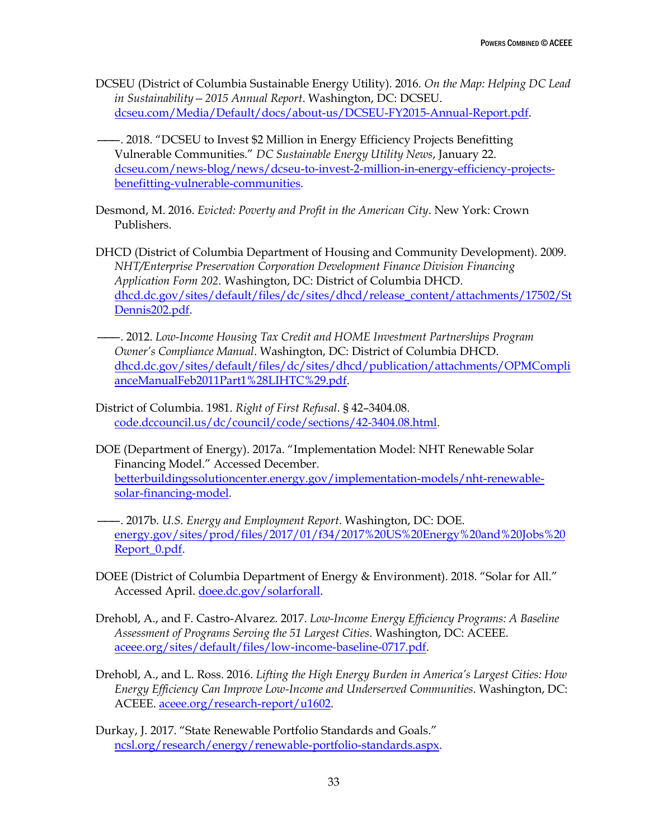- DCSEU (District of Columbia Sustainable Energy Utility). 2016. *On the Map: Helping DC Lead in Sustainability—2015 Annual Report*. Washington, DC: DCSEU. [dcseu.com/Media/Default/docs/about-us/DCSEU-FY2015-Annual-Report.pdf.](https://www.dcseu.com/Media/Default/docs/about-us/DCSEU-FY2015-Annual-Report.pdf)
- ———. 2018. "DCSEU to Invest \$2 Million in Energy Efficiency Projects Benefitting Vulnerable Communities." *DC Sustainable Energy Utility News*, January 22. [dcseu.com/news-blog/news/dcseu-to-invest-2-million-in-energy-efficiency-projects](https://www.dcseu.com/news-blog/news/dcseu-to-invest-2-million-in-energy-efficiency-projects-benefitting-vulnerable-communities)[benefitting-vulnerable-communities.](https://www.dcseu.com/news-blog/news/dcseu-to-invest-2-million-in-energy-efficiency-projects-benefitting-vulnerable-communities)
- Desmond, M. 2016. *Evicted: Poverty and Profit in the American City*. New York: Crown Publishers.
- DHCD (District of Columbia Department of Housing and Community Development). 2009. *NHT/Enterprise Preservation Corporation Development Finance Division Financing Application Form 202*. Washington, DC: District of Columbia DHCD. [dhcd.dc.gov/sites/default/files/dc/sites/dhcd/release\\_content/attachments/17502/St](https://dhcd.dc.gov/sites/default/files/dc/sites/dhcd/release_content/attachments/17502/StDennis202.pdf) [Dennis202.pdf.](https://dhcd.dc.gov/sites/default/files/dc/sites/dhcd/release_content/attachments/17502/StDennis202.pdf)
- ———. 2012. *Low-Income Housing Tax Credit and HOME Investment Partnerships Program Owner's Compliance Manual*. Washington, DC: District of Columbia DHCD. [dhcd.dc.gov/sites/default/files/dc/sites/dhcd/publication/attachments/OPMCompli](https://dhcd.dc.gov/sites/default/files/dc/sites/dhcd/publication/attachments/OPMComplianceManualFeb2011Part1%28LIHTC%29.pdf) [anceManualFeb2011Part1%28LIHTC%29.pdf.](https://dhcd.dc.gov/sites/default/files/dc/sites/dhcd/publication/attachments/OPMComplianceManualFeb2011Part1%28LIHTC%29.pdf)
- District of Columbia. 1981. *Right of First Refusal*. § 42–3404.08. [code.dccouncil.us/dc/council/code/sections/42-3404.08.html.](https://code.dccouncil.us/dc/council/code/sections/42-3404.08.html)
- DOE (Department of Energy). 2017a. "Implementation Model: NHT Renewable Solar Financing Model." Accessed December. [betterbuildingssolutioncenter.energy.gov/implementation-models/nht-renewable](https://betterbuildingssolutioncenter.energy.gov/implementation-models/nht-renewable-solar-financing-model)[solar-financing-model.](https://betterbuildingssolutioncenter.energy.gov/implementation-models/nht-renewable-solar-financing-model)
- ———. 2017b. *U.S. Energy and Employment Report*. Washington, DC: DOE. [energy.gov/sites/prod/files/2017/01/f34/2017%20US%20Energy%20and%20Jobs%20](https://energy.gov/sites/prod/files/2017/01/f34/2017%20US%20Energy%20and%20Jobs%20Report_0.pdf) [Report\\_0.pdf.](https://energy.gov/sites/prod/files/2017/01/f34/2017%20US%20Energy%20and%20Jobs%20Report_0.pdf)
- DOEE (District of Columbia Department of Energy & Environment). 2018. "Solar for All." Accessed April. [doee.dc.gov/solarforall.](https://doee.dc.gov/solarforall)
- Drehobl, A., and F. Castro-Alvarez. 2017. *Low-Income Energy Efficiency Programs: A Baseline Assessment of Programs Serving the 51 Largest Cities*. Washington, DC: ACEEE. [aceee.org/sites/default/files/low-income-baseline-0717.pdf.](http://aceee.org/sites/default/files/low-income-baseline-0717.pdf)
- Drehobl, A., and L. Ross. 2016. *Lifting the High Energy Burden in America's Largest Cities: How Energy Efficiency Can Improve Low-Income and Underserved Communities*. Washington, DC: ACEEE. [aceee.org/research-report/u1602.](http://aceee.org/research-report/u1602)
- Durkay, J. 2017. "State Renewable Portfolio Standards and Goals." [ncsl.org/research/energy/renewable-portfolio-standards.aspx.](http://www.ncsl.org/research/energy/renewable-portfolio-standards.aspx)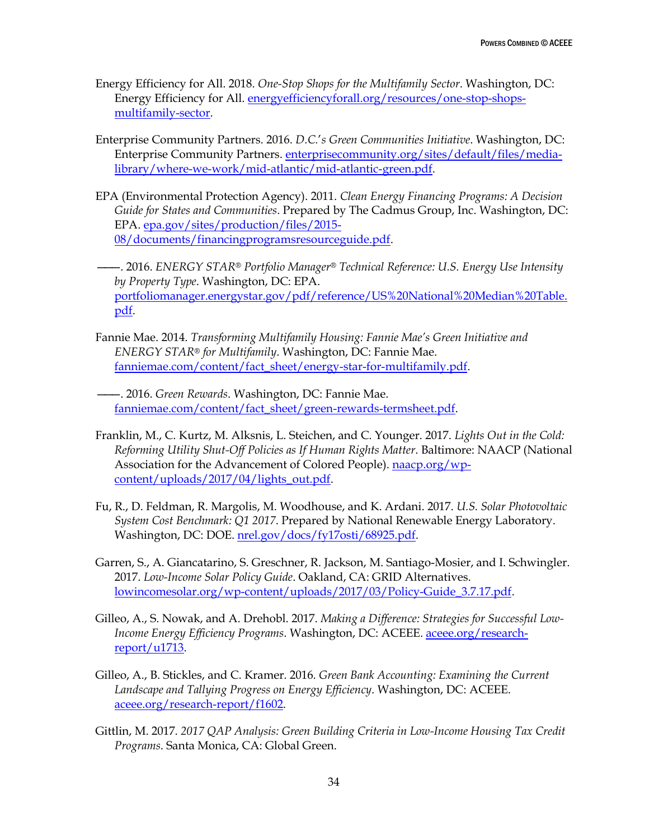- Energy Efficiency for All. 2018. *One-Stop Shops for the Multifamily Sector*. Washington, DC: Energy Efficiency for All. [energyefficiencyforall.org/resources/one-stop-shops](http://energyefficiencyforall.org/resources/one-stop-shops-multifamily-sector)[multifamily-sector.](http://energyefficiencyforall.org/resources/one-stop-shops-multifamily-sector)
- Enterprise Community Partners. 2016. *D.C.*'*s Green Communities Initiative*. Washington, DC: Enterprise Community Partners. [enterprisecommunity.org/sites/default/files/media](https://www.enterprisecommunity.org/sites/default/files/media-library/where-we-work/mid-atlantic/mid-atlantic-green.pdf)[library/where-we-work/mid-atlantic/mid-atlantic-green.pdf.](https://www.enterprisecommunity.org/sites/default/files/media-library/where-we-work/mid-atlantic/mid-atlantic-green.pdf)
- EPA (Environmental Protection Agency). 2011. *Clean Energy Financing Programs: A Decision Guide for States and Communities*. Prepared by The Cadmus Group, Inc. Washington, DC: EPA. [epa.gov/sites/production/files/2015-](https://www.epa.gov/sites/production/files/2015-08/documents/financingprogramsresourceguide.pdf) [08/documents/financingprogramsresourceguide.pdf.](https://www.epa.gov/sites/production/files/2015-08/documents/financingprogramsresourceguide.pdf)
- ———. 2016. *ENERGY STAR® Portfolio Manager® Technical Reference: U.S. Energy Use Intensity by Property Type*. Washington, DC: EPA. [portfoliomanager.energystar.gov/pdf/reference/US%20National%20Median%20Table.](https://portfoliomanager.energystar.gov/pdf/reference/US%20National%20Median%20Table.pdf) [pdf.](https://portfoliomanager.energystar.gov/pdf/reference/US%20National%20Median%20Table.pdf)
- Fannie Mae. 2014. *Transforming Multifamily Housing: Fannie Mae's Green Initiative and ENERGY STAR® for Multifamily*. Washington, DC: Fannie Mae. [fanniemae.com/content/fact\\_sheet/energy-star-for-multifamily.pdf.](https://www.fanniemae.com/content/fact_sheet/energy-star-for-multifamily.pdf)
- ———. 2016. *Green Rewards*. Washington, DC: Fannie Mae. [fanniemae.com/content/fact\\_sheet/green-rewards-termsheet.pdf.](https://www.fanniemae.com/content/fact_sheet/green-rewards-termsheet.pdf)
- Franklin, M., C. Kurtz, M. Alksnis, L. Steichen, and C. Younger. 2017. *Lights Out in the Cold: Reforming Utility Shut-Off Policies as If Human Rights Matter*. Baltimore: NAACP (National Association for the Advancement of Colored People). [naacp.org/wp](http://www.naacp.org/wp-content/uploads/2017/04/lights_out.pdf)[content/uploads/2017/04/lights\\_out.pdf.](http://www.naacp.org/wp-content/uploads/2017/04/lights_out.pdf)
- Fu, R., D. Feldman, R. Margolis, M. Woodhouse, and K. Ardani. 2017. *U.S. Solar Photovoltaic System Cost Benchmark: Q1 2017*. Prepared by National Renewable Energy Laboratory. Washington, DC: DOE. [nrel.gov/docs/fy17osti/68925.pdf.](https://www.nrel.gov/docs/fy17osti/68925.pdf)
- Garren, S., A. Giancatarino, S. Greschner, R. Jackson, M. Santiago-Mosier, and I. Schwingler. 2017. *Low-Income Solar Policy Guide*. Oakland, CA: GRID Alternatives. [lowincomesolar.org/wp-content/uploads/2017/03/Policy-Guide\\_3.7.17.pdf.](http://www.lowincomesolar.org/wp-content/uploads/2017/03/Policy-Guide_3.7.17.pdf)
- Gilleo, A., S. Nowak, and A. Drehobl. 2017. *Making a Difference: Strategies for Successful Low-Income Energy Efficiency Programs*. Washington, DC: ACEEE. [aceee.org/research](http://aceee.org/research-report/u1713)[report/u1713.](http://aceee.org/research-report/u1713)
- Gilleo, A., B. Stickles, and C. Kramer. 2016. *Green Bank Accounting: Examining the Current Landscape and Tallying Progress on Energy Efficiency*. Washington, DC: ACEEE. [aceee.org/research-report/f1602.](http://aceee.org/research-report/f1602)
- Gittlin, M. 2017. *2017 QAP Analysis: Green Building Criteria in Low-Income Housing Tax Credit Programs*. Santa Monica, CA: Global Green.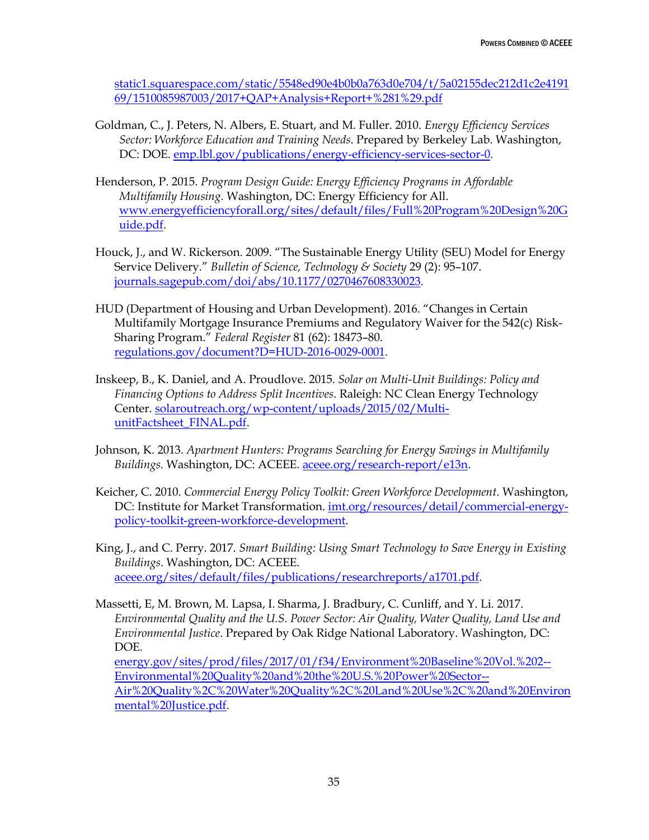[static1.squarespace.com/static/5548ed90e4b0b0a763d0e704/t/5a02155dec212d1c2e4191](https://static1.squarespace.com/static/5548ed90e4b0b0a763d0e704/t/5a02155dec212d1c2e419169/1510085987003/2017+QAP+Analysis+Report+%281%29.pdf) [69/1510085987003/2017+QAP+Analysis+Report+%281%29.pdf](https://static1.squarespace.com/static/5548ed90e4b0b0a763d0e704/t/5a02155dec212d1c2e419169/1510085987003/2017+QAP+Analysis+Report+%281%29.pdf)

- Goldman, C., J. Peters, N. Albers, E. Stuart, and M. Fuller. 2010. *Energy Efficiency Services Sector: Workforce Education and Training Needs*. Prepared by Berkeley Lab. Washington, DC: DOE[. emp.lbl.gov/publications/energy-efficiency-services-sector-0.](https://emp.lbl.gov/publications/energy-efficiency-services-sector-0)
- Henderson, P. 2015. *Program Design Guide: Energy Efficiency Programs in Affordable Multifamily Housing*. Washington, DC: Energy Efficiency for All. [www.energyefficiencyforall.org/sites/default/files/Full%20Program%20Design%20G](http://www.energyefficiencyforall.org/sites/default/files/Full%20Program%20Design%20Guide.pdf) [uide.pdf.](http://www.energyefficiencyforall.org/sites/default/files/Full%20Program%20Design%20Guide.pdf)
- Houck, J., and W. Rickerson. 2009. "The Sustainable Energy Utility (SEU) Model for Energy Service Delivery." *Bulletin of Science, Technology & Society* 29 (2): 95–107. [journals.sagepub.com/doi/abs/10.1177/0270467608330023.](http://journals.sagepub.com/doi/abs/10.1177/0270467608330023)
- HUD (Department of Housing and Urban Development). 2016. "Changes in Certain Multifamily Mortgage Insurance Premiums and Regulatory Waiver for the 542(c) Risk-Sharing Program." *Federal Register* 81 (62): 18473–80. [regulations.gov/document?D=HUD-2016-0029-0001.](https://www.regulations.gov/document?D=HUD-2016-0029-0001)
- Inskeep, B., K. Daniel, and A. Proudlove. 2015. *Solar on Multi-Unit Buildings: Policy and Financing Options to Address Split Incentives*. Raleigh: NC Clean Energy Technology Center. [solaroutreach.org/wp-content/uploads/2015/02/Multi](http://solaroutreach.org/wp-content/uploads/2015/02/Multi-unitFactsheet_FINAL.pdf)[unitFactsheet\\_FINAL.pdf.](http://solaroutreach.org/wp-content/uploads/2015/02/Multi-unitFactsheet_FINAL.pdf)
- Johnson, K. 2013. *Apartment Hunters: Programs Searching for Energy Savings in Multifamily Buildings.* Washington, DC: ACEEE. [aceee.org/research-report/e13n.](http://aceee.org/research-report/e13n)
- Keicher, C. 2010. *Commercial Energy Policy Toolkit: Green Workforce Development*. Washington, DC: Institute for Market Transformation. [imt.org/resources/detail/commercial-energy](http://www.imt.org/resources/detail/commercial-energy-policy-toolkit-green-workforce-development)[policy-toolkit-green-workforce-development.](http://www.imt.org/resources/detail/commercial-energy-policy-toolkit-green-workforce-development)
- King, J., and C. Perry. 2017. *Smart Building: Using Smart Technology to Save Energy in Existing Buildings*. Washington, DC: ACEEE. [aceee.org/sites/default/files/publications/researchreports/a1701.pdf.](http://aceee.org/sites/default/files/publications/researchreports/a1701.pdf)
- Massetti, E, M. Brown, M. Lapsa, I. Sharma, J. Bradbury, C. Cunliff, and Y. Li. 2017. *Environmental Quality and the U.S. Power Sector: Air Quality, Water Quality, Land Use and Environmental Justice*. Prepared by Oak Ridge National Laboratory. Washington, DC: DOE. [energy.gov/sites/prod/files/2017/01/f34/Environment%20Baseline%20Vol.%202--](https://www.energy.gov/sites/prod/files/2017/01/f34/Environment%20Baseline%20Vol.%202--Environmental%20Quality%20and%20the%20U.S.%20Power%20Sector--Air%20Quality%2C%20Water%20Quality%2C%20Land%20Use%2C%20and%20Environmental%20Justice.pdf) [Environmental%20Quality%20and%20the%20U.S.%20Power%20Sector--](https://www.energy.gov/sites/prod/files/2017/01/f34/Environment%20Baseline%20Vol.%202--Environmental%20Quality%20and%20the%20U.S.%20Power%20Sector--Air%20Quality%2C%20Water%20Quality%2C%20Land%20Use%2C%20and%20Environmental%20Justice.pdf) [Air%20Quality%2C%20Water%20Quality%2C%20Land%20Use%2C%20and%20Environ](https://www.energy.gov/sites/prod/files/2017/01/f34/Environment%20Baseline%20Vol.%202--Environmental%20Quality%20and%20the%20U.S.%20Power%20Sector--Air%20Quality%2C%20Water%20Quality%2C%20Land%20Use%2C%20and%20Environmental%20Justice.pdf) [mental%20Justice.pdf.](https://www.energy.gov/sites/prod/files/2017/01/f34/Environment%20Baseline%20Vol.%202--Environmental%20Quality%20and%20the%20U.S.%20Power%20Sector--Air%20Quality%2C%20Water%20Quality%2C%20Land%20Use%2C%20and%20Environmental%20Justice.pdf)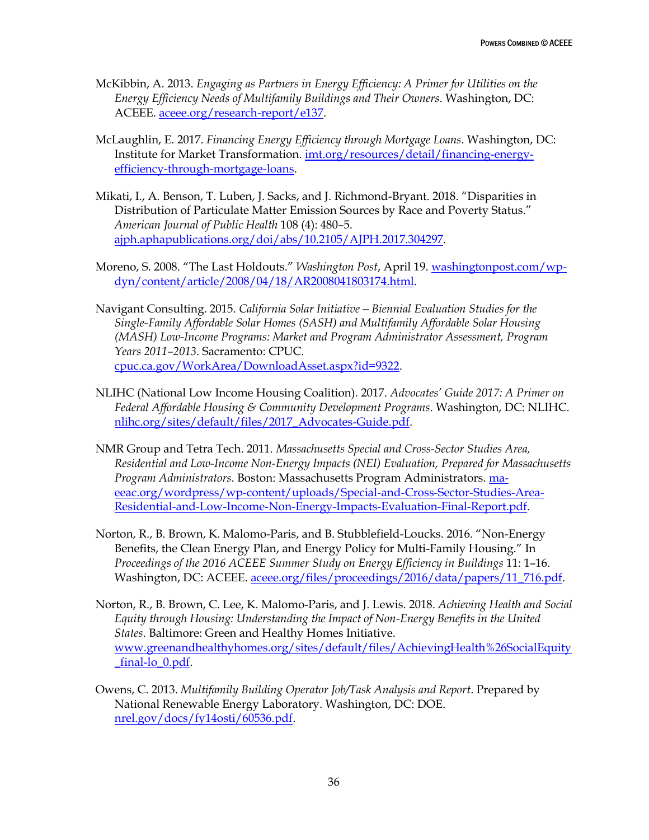- McKibbin, A. 2013. *Engaging as Partners in Energy Efficiency: A Primer for Utilities on the Energy Efficiency Needs of Multifamily Buildings and Their Owners*. Washington, DC: ACEEE. [aceee.org/research-report/e137.](http://aceee.org/research-report/e137)
- McLaughlin, E. 2017. *Financing Energy Efficiency through Mortgage Loans*. Washington, DC: Institute for Market Transformation. [imt.org/resources/detail/financing-energy](http://www.imt.org/resources/detail/financing-energy-efficiency-through-mortgage-loans)[efficiency-through-mortgage-loans.](http://www.imt.org/resources/detail/financing-energy-efficiency-through-mortgage-loans)
- Mikati, I., A. Benson, T. Luben, J. Sacks, and J. Richmond-Bryant. 2018. "Disparities in Distribution of Particulate Matter Emission Sources by Race and Poverty Status." *American Journal of Public Health* 108 (4): 480–5. [ajph.aphapublications.org/doi/abs/10.2105/AJPH.2017.304297.](http://ajph.aphapublications.org/doi/abs/10.2105/AJPH.2017.304297)
- Moreno, S. 2008. "The Last Holdouts." *Washington Post*, April 19. [washingtonpost.com/wp](http://www.washingtonpost.com/wp-dyn/content/article/2008/04/18/AR2008041803174.html)[dyn/content/article/2008/04/18/AR2008041803174.html.](http://www.washingtonpost.com/wp-dyn/content/article/2008/04/18/AR2008041803174.html)
- Navigant Consulting. 2015. *California Solar Initiative—Biennial Evaluation Studies for the Single-Family Affordable Solar Homes (SASH) and Multifamily Affordable Solar Housing (MASH) Low-Income Programs: Market and Program Administrator Assessment, Program Years 2011–2013*. Sacramento: CPUC. [cpuc.ca.gov/WorkArea/DownloadAsset.aspx?id=9322.](http://www.cpuc.ca.gov/WorkArea/DownloadAsset.aspx?id=9322)
- NLIHC (National Low Income Housing Coalition). 2017. *Advocates' Guide 2017: A Primer on Federal Affordable Housing & Community Development Programs*. Washington, DC: NLIHC. [nlihc.org/sites/default/files/2017\\_Advocates-Guide.pdf.](http://nlihc.org/sites/default/files/2017_Advocates-Guide.pdf)
- NMR Group and Tetra Tech. 2011. *Massachusetts Special and Cross-Sector Studies Area, Residential and Low-Income Non-Energy Impacts (NEI) Evaluation, Prepared for Massachusetts Program Administrators*. Boston: Massachusetts Program Administrators. [ma](http://ma-eeac.org/wordpress/wp-content/uploads/Special-and-Cross-Sector-Studies-Area-Residential-and-Low-Income-Non-Energy-Impacts-Evaluation-Final-Report.pdf)[eeac.org/wordpress/wp-content/uploads/Special-and-Cross-Sector-Studies-Area-](http://ma-eeac.org/wordpress/wp-content/uploads/Special-and-Cross-Sector-Studies-Area-Residential-and-Low-Income-Non-Energy-Impacts-Evaluation-Final-Report.pdf)[Residential-and-Low-Income-Non-Energy-Impacts-Evaluation-Final-Report.pdf.](http://ma-eeac.org/wordpress/wp-content/uploads/Special-and-Cross-Sector-Studies-Area-Residential-and-Low-Income-Non-Energy-Impacts-Evaluation-Final-Report.pdf)
- Norton, R., B. Brown, K. Malomo-Paris, and B. Stubblefield-Loucks. 2016. "Non-Energy Benefits, the Clean Energy Plan, and Energy Policy for Multi-Family Housing." In *Proceedings of the 2016 ACEEE Summer Study on Energy Efficiency in Buildings* 11: 1–16. Washington, DC: ACEEE. [aceee.org/files/proceedings/2016/data/papers/11\\_716.pdf.](http://aceee.org/files/proceedings/2016/data/papers/11_716.pdf)
- Norton, R., B. Brown, C. Lee, K. Malomo-Paris, and J. Lewis. 2018. *Achieving Health and Social Equity through Housing: Understanding the Impact of Non-Energy Benefits in the United States*. Baltimore: Green and Healthy Homes Initiative. [www.greenandhealthyhomes.org/sites/default/files/AchievingHealth%26SocialEquity](http://www.greenandhealthyhomes.org/sites/default/files/AchievingHealth%26SocialEquity_final-lo_0.pdf) [\\_final-lo\\_0.pdf.](http://www.greenandhealthyhomes.org/sites/default/files/AchievingHealth%26SocialEquity_final-lo_0.pdf)
- Owens, C. 2013. *Multifamily Building Operator Job/Task Analysis and Report*. Prepared by National Renewable Energy Laboratory. Washington, DC: DOE. [nrel.gov/docs/fy14osti/60536.pdf.](https://www.nrel.gov/docs/fy14osti/60536.pdf)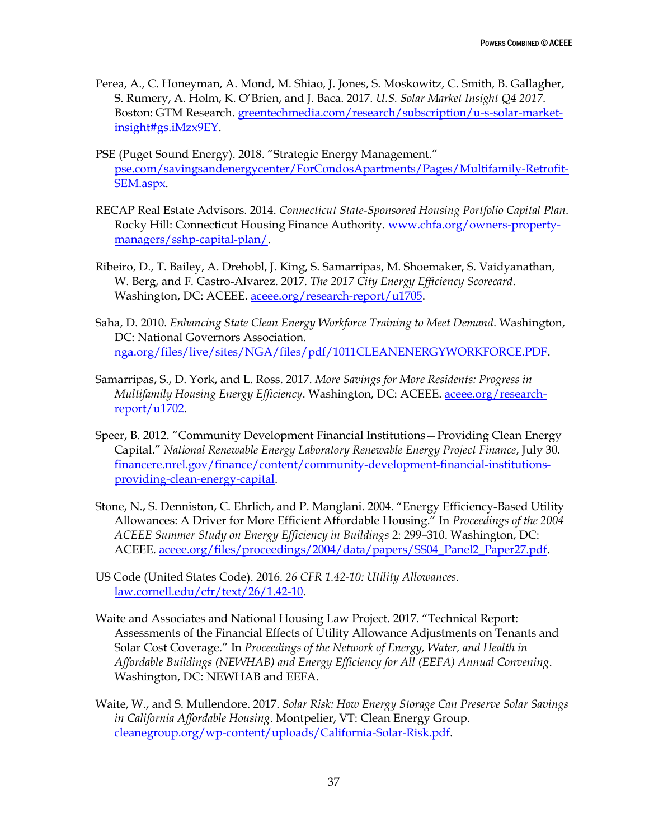- Perea, A., C. Honeyman, A. Mond, M. Shiao, J. Jones, S. Moskowitz, C. Smith, B. Gallagher, S. Rumery, A. Holm, K. O'Brien, and J. Baca. 2017. *U.S. Solar Market Insight Q4 2017*. Boston: GTM Research. [greentechmedia.com/research/subscription/u-s-solar-market](https://www.greentechmedia.com/research/subscription/u-s-solar-market-insight#gs.iMzx9EY)[insight#gs.iMzx9EY.](https://www.greentechmedia.com/research/subscription/u-s-solar-market-insight#gs.iMzx9EY)
- PSE (Puget Sound Energy). 2018. "Strategic Energy Management." [pse.com/savingsandenergycenter/ForCondosApartments/Pages/Multifamily-Retrofit-](https://pse.com/savingsandenergycenter/ForCondosApartments/Pages/Multifamily-Retrofit-SEM.aspx)[SEM.aspx.](https://pse.com/savingsandenergycenter/ForCondosApartments/Pages/Multifamily-Retrofit-SEM.aspx)
- RECAP Real Estate Advisors. 2014. *Connecticut State-Sponsored Housing Portfolio Capital Plan*. Rocky Hill: Connecticut Housing Finance Authority. [www.chfa.org/owners-property](https://www.chfa.org/owners-property-managers/sshp-capital-plan/)[managers/sshp-capital-plan/.](https://www.chfa.org/owners-property-managers/sshp-capital-plan/)
- Ribeiro, D., T. Bailey, A. Drehobl, J. King, S. Samarripas, M. Shoemaker, S. Vaidyanathan, W. Berg, and F. Castro-Alvarez. 2017. *The 2017 City Energy Efficiency Scorecard*. Washington, DC: ACEEE. [aceee.org/research-report/u1705.](http://aceee.org/research-report/u1705)
- Saha, D. 2010. *Enhancing State Clean Energy Workforce Training to Meet Demand*. Washington, DC: National Governors Association. [nga.org/files/live/sites/NGA/files/pdf/1011CLEANENERGYWORKFORCE.PDF.](https://www.nga.org/files/live/sites/NGA/files/pdf/1011CLEANENERGYWORKFORCE.PDF)
- Samarripas, S., D. York, and L. Ross. 2017. *More Savings for More Residents: Progress in Multifamily Housing Energy Efficiency*. Washington, DC: ACEEE. [aceee.org/research](http://aceee.org/research-report/u1702)[report/u1702.](http://aceee.org/research-report/u1702)
- Speer, B. 2012. "Community Development Financial Institutions—Providing Clean Energy Capital." *National Renewable Energy Laboratory Renewable Energy Project Finance*, July 30. [financere.nrel.gov/finance/content/community-development-financial-institutions](https://financere.nrel.gov/finance/content/community-development-financial-institutions-providing-clean-energy-capital)[providing-clean-energy-capital.](https://financere.nrel.gov/finance/content/community-development-financial-institutions-providing-clean-energy-capital)
- Stone, N., S. Denniston, C. Ehrlich, and P. Manglani. 2004. "Energy Efficiency-Based Utility Allowances: A Driver for More Efficient Affordable Housing." In *Proceedings of the 2004 ACEEE Summer Study on Energy Efficiency in Buildings* 2: 299–310. Washington, DC: ACEEE. [aceee.org/files/proceedings/2004/data/papers/SS04\\_Panel2\\_Paper27.pdf.](http://aceee.org/files/proceedings/2004/data/papers/SS04_Panel2_Paper27.pdf)
- US Code (United States Code). 2016. *26 CFR 1.42-10: Utility Allowances*. [law.cornell.edu/cfr/text/26/1.42-10.](https://www.law.cornell.edu/cfr/text/26/1.42-10)
- Waite and Associates and National Housing Law Project. 2017. "Technical Report: Assessments of the Financial Effects of Utility Allowance Adjustments on Tenants and Solar Cost Coverage." In *Proceedings of the Network of Energy, Water, and Health in Affordable Buildings (NEWHAB) and Energy Efficiency for All (EEFA) Annual Convening*. Washington, DC: NEWHAB and EEFA.
- Waite, W., and S. Mullendore. 2017. *Solar Risk: How Energy Storage Can Preserve Solar Savings in California Affordable Housing*. Montpelier, VT: Clean Energy Group. [cleanegroup.org/wp-content/uploads/California-Solar-Risk.pdf.](https://www.cleanegroup.org/wp-content/uploads/California-Solar-Risk.pdf)